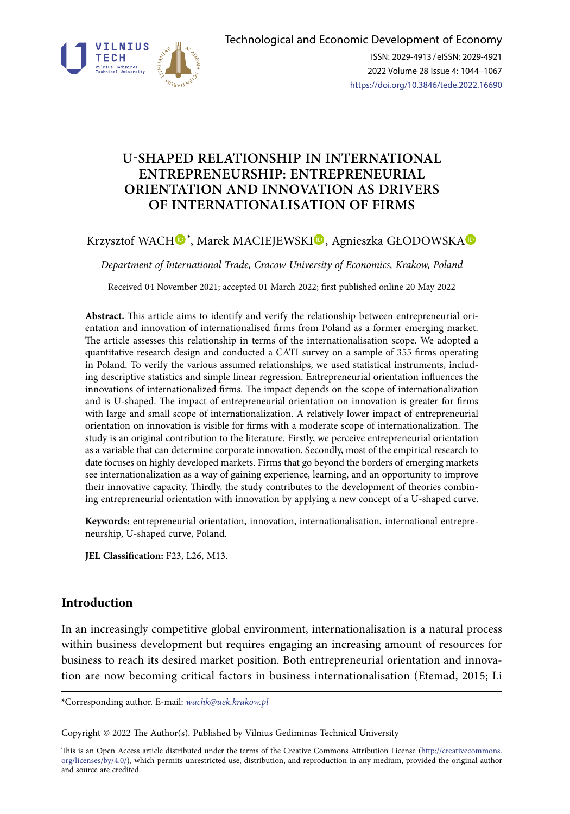

# **U-SHAPED RELATIONSHIP IN INTERNATIONAL ENTREPRENEURSHIP: ENTREPRENEURIAL ORIENTATION AND INNOVATION AS DRIVERS OF INTERNATIONALISATION OF FIRMS**

# Krzysztof WACH®[\\*](https://orcid.org/0000-0001-7542-2863)[,](https://orcid.org/0000-0003-1343-3764) Marek MACIEJEWSKI®, Agnieszka GŁODOWSKA

*Department of International Trade, Cracow University of Economics, Krakow, Poland*

Received 04 November 2021; accepted 01 March 2022; first published online 20 May 2022

**Abstract.** This article aims to identify and verify the relationship between entrepreneurial orientation and innovation of internationalised firms from Poland as a former emerging market. The article assesses this relationship in terms of the internationalisation scope. We adopted a quantitative research design and conducted a CATI survey on a sample of 355 firms operating in Poland. To verify the various assumed relationships, we used statistical instruments, including descriptive statistics and simple linear regression. Entrepreneurial orientation influences the innovations of internationalized firms. The impact depends on the scope of internationalization and is U-shaped. The impact of entrepreneurial orientation on innovation is greater for firms with large and small scope of internationalization. A relatively lower impact of entrepreneurial orientation on innovation is visible for firms with a moderate scope of internationalization. The study is an original contribution to the literature. Firstly, we perceive entrepreneurial orientation as a variable that can determine corporate innovation. Secondly, most of the empirical research to date focuses on highly developed markets. Firms that go beyond the borders of emerging markets see internationalization as a way of gaining experience, learning, and an opportunity to improve their innovative capacity. Thirdly, the study contributes to the development of theories combining entrepreneurial orientation with innovation by applying a new concept of a U-shaped curve.

**Keywords:** entrepreneurial orientation, innovation, internationalisation, international entrepreneurship, U-shaped curve, Poland.

**JEL Classification:** F23, L26, M13.

# **Introduction**

In an increasingly competitive global environment, internationalisation is a natural process within business development but requires engaging an increasing amount of resources for business to reach its desired market position. Both entrepreneurial orientation and innovation are now becoming critical factors in business internationalisation (Etemad, 2015; Li

\*Corresponding author. E-mail: *[wachk@uek.krakow.pl](mailto:wachk@uek.krakow.pl)*

Copyright © 2022 The Author(s). Published by Vilnius Gediminas Technical University

This is an Open Access article distributed under the terms of the Creative Commons Attribution License ([http://creativecommons.](http://creativecommons.org/licenses/by/4.0/) [org/licenses/by/4.0/\)](http://creativecommons.org/licenses/by/4.0/), which permits unrestricted use, distribution, and reproduction in any medium, provided the original author and source are credited.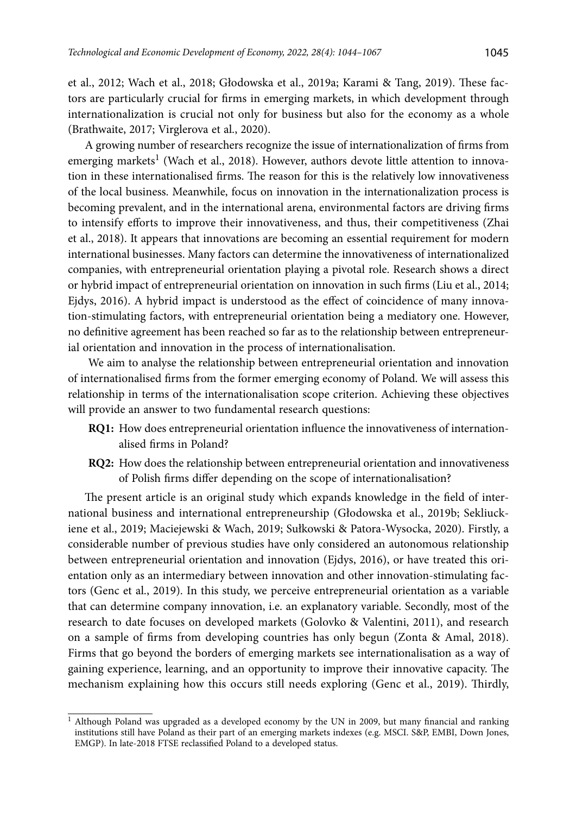et al., 2012; Wach et al., 2018; Głodowska et al., 2019a; Karami & Tang, 2019). These factors are particularly crucial for firms in emerging markets, in which development through internationalization is crucial not only for business but also for the economy as a whole (Brathwaite, 2017; Virglerova et al., 2020).

A growing number of researchers recognize the issue of internationalization of firms from emerging markets<sup>1</sup> (Wach et al., 2018). However, authors devote little attention to innovation in these internationalised firms. The reason for this is the relatively low innovativeness of the local business. Meanwhile, focus on innovation in the internationalization process is becoming prevalent, and in the international arena, environmental factors are driving firms to intensify efforts to improve their innovativeness, and thus, their competitiveness (Zhai et al., 2018). It appears that innovations are becoming an essential requirement for modern international businesses. Many factors can determine the innovativeness of internationalized companies, with entrepreneurial orientation playing a pivotal role. Research shows a direct or hybrid impact of entrepreneurial orientation on innovation in such firms (Liu et al., 2014; Ejdys, 2016). A hybrid impact is understood as the effect of coincidence of many innovation-stimulating factors, with entrepreneurial orientation being a mediatory one. However, no definitive agreement has been reached so far as to the relationship between entrepreneurial orientation and innovation in the process of internationalisation.

 We aim to analyse the relationship between entrepreneurial orientation and innovation of internationalised firms from the former emerging economy of Poland. We will assess this relationship in terms of the internationalisation scope criterion. Achieving these objectives will provide an answer to two fundamental research questions:

- **RQ1:** How does entrepreneurial orientation influence the innovativeness of internationalised firms in Poland?
- **RQ2:** How does the relationship between entrepreneurial orientation and innovativeness of Polish firms differ depending on the scope of internationalisation?

The present article is an original study which expands knowledge in the field of international business and international entrepreneurship (Głodowska et al., 2019b; Sekliuckiene et al., 2019; Maciejewski & Wach, 2019; Sułkowski & Patora-Wysocka, 2020). Firstly, a considerable number of previous studies have only considered an autonomous relationship between entrepreneurial orientation and innovation (Ejdys, 2016), or have treated this orientation only as an intermediary between innovation and other innovation-stimulating factors (Genc et al., 2019). In this study, we perceive entrepreneurial orientation as a variable that can determine company innovation, i.e. an explanatory variable. Secondly, most of the research to date focuses on developed markets (Golovko & Valentini, 2011), and research on a sample of firms from developing countries has only begun (Zonta & Amal, 2018). Firms that go beyond the borders of emerging markets see internationalisation as a way of gaining experience, learning, and an opportunity to improve their innovative capacity. The mechanism explaining how this occurs still needs exploring (Genc et al., 2019). Thirdly,

<sup>&</sup>lt;sup>1</sup> Although Poland was upgraded as a developed economy by the UN in 2009, but many financial and ranking institutions still have Poland as their part of an emerging markets indexes (e.g. MSCI. S&P, EMBI, Down Jones, EMGP). In late-2018 FTSE reclassified Poland to a developed status.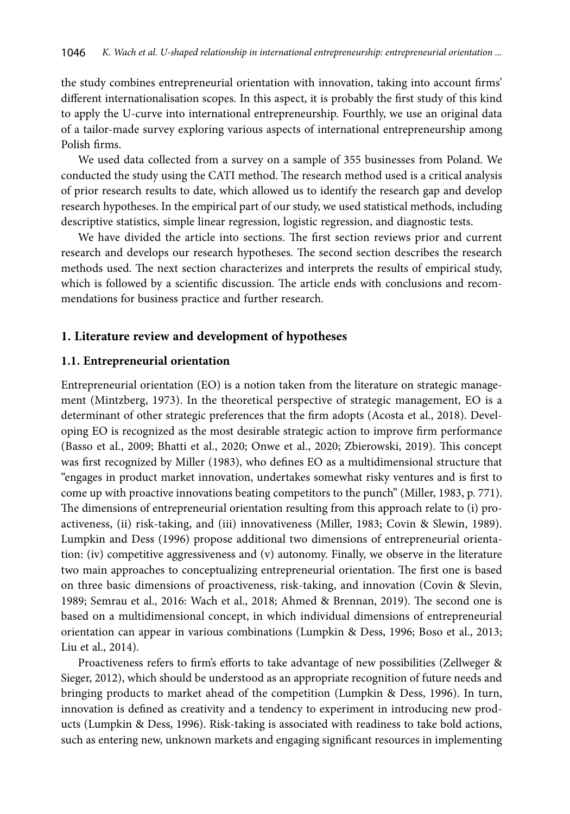the study combines entrepreneurial orientation with innovation, taking into account firms' different internationalisation scopes. In this aspect, it is probably the first study of this kind to apply the U-curve into international entrepreneurship. Fourthly, we use an original data of a tailor-made survey exploring various aspects of international entrepreneurship among Polish firms.

We used data collected from a survey on a sample of 355 businesses from Poland. We conducted the study using the CATI method. The research method used is a critical analysis of prior research results to date, which allowed us to identify the research gap and develop research hypotheses. In the empirical part of our study, we used statistical methods, including descriptive statistics, simple linear regression, logistic regression, and diagnostic tests.

We have divided the article into sections. The first section reviews prior and current research and develops our research hypotheses. The second section describes the research methods used. The next section characterizes and interprets the results of empirical study, which is followed by a scientific discussion. The article ends with conclusions and recommendations for business practice and further research.

### **1. Literature review and development of hypotheses**

#### **1.1. Entrepreneurial orientation**

Entrepreneurial orientation (EO) is a notion taken from the literature on strategic management (Mintzberg, 1973). In the theoretical perspective of strategic management, EO is a determinant of other strategic preferences that the firm adopts (Acosta et al., 2018). Developing EO is recognized as the most desirable strategic action to improve firm performance (Basso et al., 2009; Bhatti et al., 2020; Onwe et al., 2020; Zbierowski, 2019). This concept was first recognized by Miller (1983), who defines EO as a multidimensional structure that "engages in product market innovation, undertakes somewhat risky ventures and is first to come up with proactive innovations beating competitors to the punch" (Miller, 1983, p. 771). The dimensions of entrepreneurial orientation resulting from this approach relate to (i) proactiveness, (ii) risk-taking, and (iii) innovativeness (Miller, 1983; Covin & Slewin, 1989). Lumpkin and Dess (1996) propose additional two dimensions of entrepreneurial orientation: (iv) competitive aggressiveness and (v) autonomy. Finally, we observe in the literature two main approaches to conceptualizing entrepreneurial orientation. The first one is based on three basic dimensions of proactiveness, risk-taking, and innovation (Covin & Slevin, 1989; Semrau et al., 2016: Wach et al., 2018; Ahmed & Brennan, 2019). The second one is based on a multidimensional concept, in which individual dimensions of entrepreneurial orientation can appear in various combinations (Lumpkin & Dess, 1996; Boso et al., 2013; Liu et al., 2014).

Proactiveness refers to firm's efforts to take advantage of new possibilities (Zellweger & Sieger, 2012), which should be understood as an appropriate recognition of future needs and bringing products to market ahead of the competition (Lumpkin & Dess, 1996). In turn, innovation is defined as creativity and a tendency to experiment in introducing new products (Lumpkin & Dess, 1996). Risk-taking is associated with readiness to take bold actions, such as entering new, unknown markets and engaging significant resources in implementing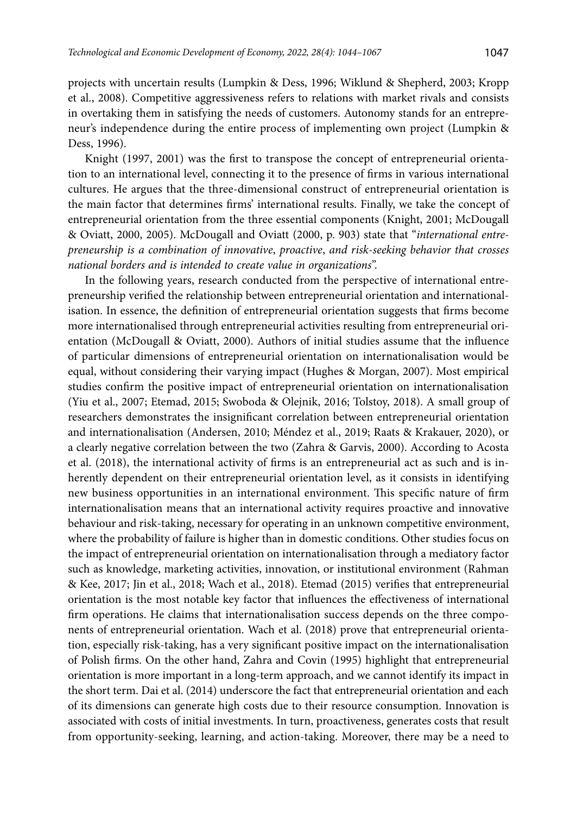projects with uncertain results (Lumpkin & Dess, 1996; Wiklund & Shepherd, 2003; Kropp et al., 2008). Competitive aggressiveness refers to relations with market rivals and consists in overtaking them in satisfying the needs of customers. Autonomy stands for an entrepreneur's independence during the entire process of implementing own project (Lumpkin & Dess, 1996).

Knight (1997, 2001) was the first to transpose the concept of entrepreneurial orientation to an international level, connecting it to the presence of firms in various international cultures. He argues that the three-dimensional construct of entrepreneurial orientation is the main factor that determines firms' international results. Finally, we take the concept of entrepreneurial orientation from the three essential components (Knight, 2001; McDougall & Oviatt, 2000, 2005). McDougall and Oviatt (2000, p. 903) state that "*international entrepreneurship is a combination of innovative*, *proactive*, *and risk-seeking behavior that crosses national borders and is intended to create value in organizations*".

In the following years, research conducted from the perspective of international entrepreneurship verified the relationship between entrepreneurial orientation and internationalisation. In essence, the definition of entrepreneurial orientation suggests that firms become more internationalised through entrepreneurial activities resulting from entrepreneurial orientation (McDougall & Oviatt, 2000). Authors of initial studies assume that the influence of particular dimensions of entrepreneurial orientation on internationalisation would be equal, without considering their varying impact (Hughes & Morgan, 2007). Most empirical studies confirm the positive impact of entrepreneurial orientation on internationalisation (Yiu et al., 2007; Etemad, 2015; Swoboda & Olejnik, 2016; Tolstoy, 2018). A small group of researchers demonstrates the insignificant correlation between entrepreneurial orientation and internationalisation (Andersen, 2010; Méndez et al., 2019; Raats & Krakauer, 2020), or a clearly negative correlation between the two (Zahra & Garvis, 2000). According to Acosta et al. (2018), the international activity of firms is an entrepreneurial act as such and is inherently dependent on their entrepreneurial orientation level, as it consists in identifying new business opportunities in an international environment. This specific nature of firm internationalisation means that an international activity requires proactive and innovative behaviour and risk-taking, necessary for operating in an unknown competitive environment, where the probability of failure is higher than in domestic conditions. Other studies focus on the impact of entrepreneurial orientation on internationalisation through a mediatory factor such as knowledge, marketing activities, innovation, or institutional environment (Rahman & Kee, 2017; Jin et al., 2018; Wach et al., 2018). Etemad (2015) verifies that entrepreneurial orientation is the most notable key factor that influences the effectiveness of international firm operations. He claims that internationalisation success depends on the three components of entrepreneurial orientation. Wach et al. (2018) prove that entrepreneurial orientation, especially risk-taking, has a very significant positive impact on the internationalisation of Polish firms. On the other hand, Zahra and Covin (1995) highlight that entrepreneurial orientation is more important in a long-term approach, and we cannot identify its impact in the short term. Dai et al. (2014) underscore the fact that entrepreneurial orientation and each of its dimensions can generate high costs due to their resource consumption. Innovation is associated with costs of initial investments. In turn, proactiveness, generates costs that result from opportunity-seeking, learning, and action-taking. Moreover, there may be a need to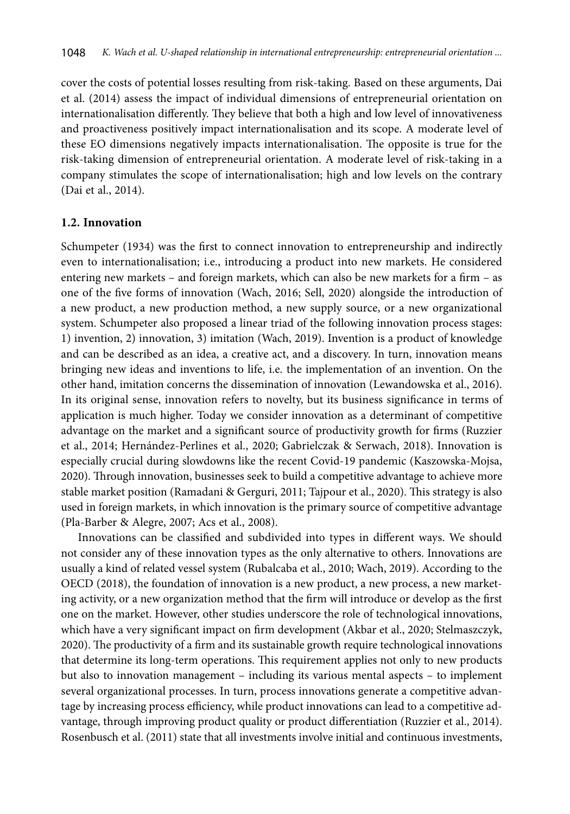cover the costs of potential losses resulting from risk-taking. Based on these arguments, Dai et al. (2014) assess the impact of individual dimensions of entrepreneurial orientation on internationalisation differently. They believe that both a high and low level of innovativeness and proactiveness positively impact internationalisation and its scope. A moderate level of these EO dimensions negatively impacts internationalisation. The opposite is true for the risk-taking dimension of entrepreneurial orientation. A moderate level of risk-taking in a company stimulates the scope of internationalisation; high and low levels on the contrary (Dai et al., 2014).

#### **1.2. Innovation**

Schumpeter (1934) was the first to connect innovation to entrepreneurship and indirectly even to internationalisation; i.e., introducing a product into new markets. He considered entering new markets – and foreign markets, which can also be new markets for a firm – as one of the five forms of innovation (Wach, 2016; Sell, 2020) alongside the introduction of a new product, a new production method, a new supply source, or a new organizational system. Schumpeter also proposed a linear triad of the following innovation process stages: 1) invention, 2) innovation, 3) imitation (Wach, 2019). Invention is a product of knowledge and can be described as an idea, a creative act, and a discovery. In turn, innovation means bringing new ideas and inventions to life, i.e*.* the implementation of an invention. On the other hand, imitation concerns the dissemination of innovation (Lewandowska et al., 2016). In its original sense, innovation refers to novelty, but its business significance in terms of application is much higher. Today we consider innovation as a determinant of competitive advantage on the market and a significant source of productivity growth for firms (Ruzzier et al., 2014; Hernández-Perlines et al., 2020; Gabrielczak & Serwach, 2018). Innovation is especially crucial during slowdowns like the recent Covid-19 pandemic (Kaszowska-Mojsa, 2020). Through innovation, businesses seek to build a competitive advantage to achieve more stable market position (Ramadani & Gerguri, 2011; Tajpour et al., 2020). This strategy is also used in foreign markets, in which innovation is the primary source of competitive advantage (Pla-Barber & Alegre, 2007; Acs et al., 2008).

Innovations can be classified and subdivided into types in different ways. We should not consider any of these innovation types as the only alternative to others. Innovations are usually a kind of related vessel system (Rubalcaba et al., 2010; Wach, 2019). According to the OECD (2018), the foundation of innovation is a new product, a new process, a new marketing activity, or a new organization method that the firm will introduce or develop as the first one on the market. However, other studies underscore the role of technological innovations, which have a very significant impact on firm development (Akbar et al., 2020; Stelmaszczyk, 2020). The productivity of a firm and its sustainable growth require technological innovations that determine its long-term operations. This requirement applies not only to new products but also to innovation management – including its various mental aspects – to implement several organizational processes. In turn, process innovations generate a competitive advantage by increasing process efficiency, while product innovations can lead to a competitive advantage, through improving product quality or product differentiation (Ruzzier et al., 2014). Rosenbusch et al. (2011) state that all investments involve initial and continuous investments,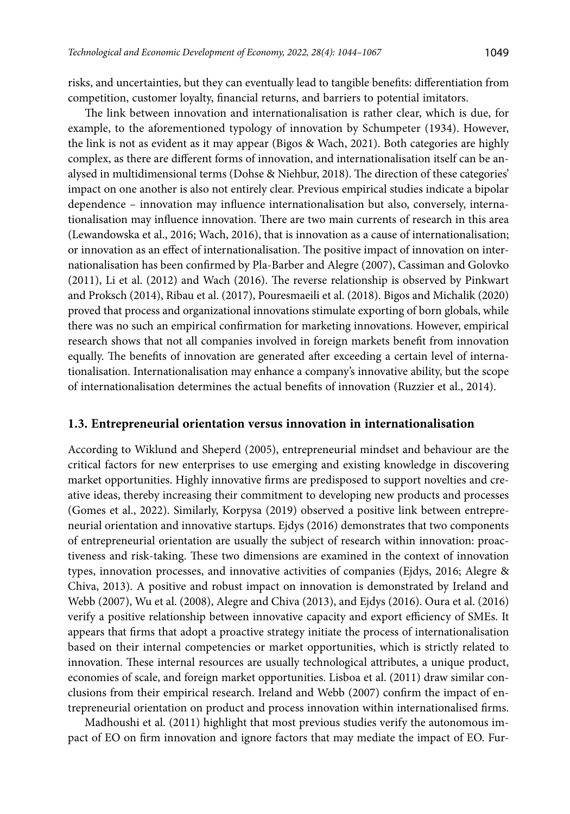risks, and uncertainties, but they can eventually lead to tangible benefits: differentiation from competition, customer loyalty, financial returns, and barriers to potential imitators.

The link between innovation and internationalisation is rather clear, which is due, for example, to the aforementioned typology of innovation by Schumpeter (1934). However, the link is not as evident as it may appear (Bigos & Wach, 2021). Both categories are highly complex, as there are different forms of innovation, and internationalisation itself can be analysed in multidimensional terms (Dohse & Niehbur, 2018). The direction of these categories' impact on one another is also not entirely clear. Previous empirical studies indicate a bipolar dependence – innovation may influence internationalisation but also, conversely, internationalisation may influence innovation. There are two main currents of research in this area (Lewandowska et al., 2016; Wach, 2016), that is innovation as a cause of internationalisation; or innovation as an effect of internationalisation. The positive impact of innovation on internationalisation has been confirmed by Pla-Barber and Alegre (2007), Cassiman and Golovko (2011), Li et al. (2012) and Wach (2016). The reverse relationship is observed by Pinkwart and Proksch (2014), Ribau et al. (2017), Pouresmaeili et al. (2018). Bigos and Michalik (2020) proved that process and organizational innovations stimulate exporting of born globals, while there was no such an empirical confirmation for marketing innovations. However, empirical research shows that not all companies involved in foreign markets benefit from innovation equally. The benefits of innovation are generated after exceeding a certain level of internationalisation. Internationalisation may enhance a company's innovative ability, but the scope of internationalisation determines the actual benefits of innovation (Ruzzier et al., 2014).

#### **1.3. Entrepreneurial orientation versus innovation in internationalisation**

According to Wiklund and Sheperd (2005), entrepreneurial mindset and behaviour are the critical factors for new enterprises to use emerging and existing knowledge in discovering market opportunities. Highly innovative firms are predisposed to support novelties and creative ideas, thereby increasing their commitment to developing new products and processes (Gomes et al., 2022). Similarly, Korpysa (2019) observed a positive link between entrepreneurial orientation and innovative startups. Ejdys (2016) demonstrates that two components of entrepreneurial orientation are usually the subject of research within innovation: proactiveness and risk-taking. These two dimensions are examined in the context of innovation types, innovation processes, and innovative activities of companies (Ejdys, 2016; Alegre & Chiva, 2013). A positive and robust impact on innovation is demonstrated by Ireland and Webb (2007), Wu et al. (2008), Alegre and Chiva (2013), and Ejdys (2016). Oura et al. (2016) verify a positive relationship between innovative capacity and export efficiency of SMEs. It appears that firms that adopt a proactive strategy initiate the process of internationalisation based on their internal competencies or market opportunities, which is strictly related to innovation. These internal resources are usually technological attributes, a unique product, economies of scale, and foreign market opportunities. Lisboa et al. (2011) draw similar conclusions from their empirical research. Ireland and Webb (2007) confirm the impact of entrepreneurial orientation on product and process innovation within internationalised firms.

Madhoushi et al. (2011) highlight that most previous studies verify the autonomous impact of EO on firm innovation and ignore factors that may mediate the impact of EO. Fur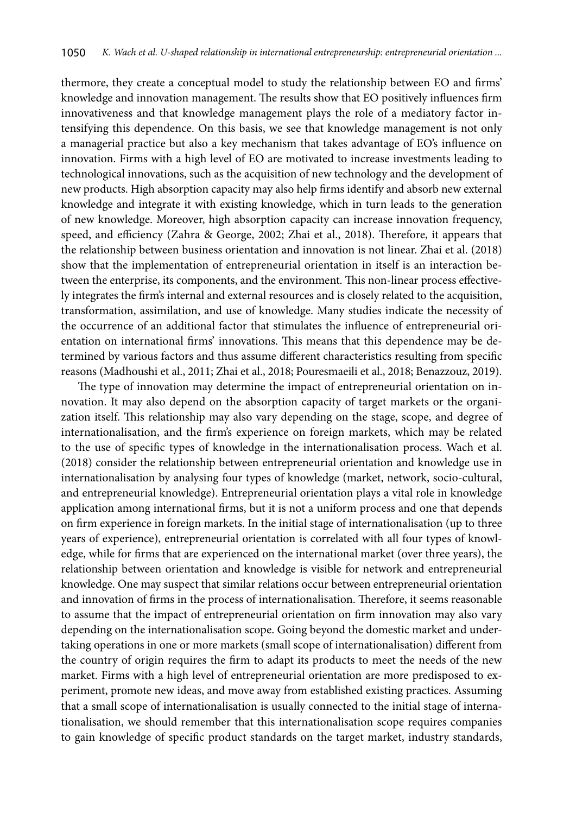thermore, they create a conceptual model to study the relationship between EO and firms' knowledge and innovation management. The results show that EO positively influences firm innovativeness and that knowledge management plays the role of a mediatory factor intensifying this dependence. On this basis, we see that knowledge management is not only a managerial practice but also a key mechanism that takes advantage of EO's influence on innovation. Firms with a high level of EO are motivated to increase investments leading to technological innovations, such as the acquisition of new technology and the development of new products. High absorption capacity may also help firms identify and absorb new external knowledge and integrate it with existing knowledge, which in turn leads to the generation of new knowledge. Moreover, high absorption capacity can increase innovation frequency, speed, and efficiency (Zahra & George, 2002; Zhai et al., 2018). Therefore, it appears that the relationship between business orientation and innovation is not linear. Zhai et al. (2018) show that the implementation of entrepreneurial orientation in itself is an interaction between the enterprise, its components, and the environment. This non-linear process effectively integrates the firm's internal and external resources and is closely related to the acquisition, transformation, assimilation, and use of knowledge. Many studies indicate the necessity of the occurrence of an additional factor that stimulates the influence of entrepreneurial orientation on international firms' innovations. This means that this dependence may be determined by various factors and thus assume different characteristics resulting from specific reasons (Madhoushi et al., 2011; Zhai et al., 2018; Pouresmaeili et al., 2018; Benazzouz, 2019).

The type of innovation may determine the impact of entrepreneurial orientation on innovation. It may also depend on the absorption capacity of target markets or the organization itself. This relationship may also vary depending on the stage, scope, and degree of internationalisation, and the firm's experience on foreign markets, which may be related to the use of specific types of knowledge in the internationalisation process. Wach et al. (2018) consider the relationship between entrepreneurial orientation and knowledge use in internationalisation by analysing four types of knowledge (market, network, socio-cultural, and entrepreneurial knowledge). Entrepreneurial orientation plays a vital role in knowledge application among international firms, but it is not a uniform process and one that depends on firm experience in foreign markets. In the initial stage of internationalisation (up to three years of experience), entrepreneurial orientation is correlated with all four types of knowledge, while for firms that are experienced on the international market (over three years), the relationship between orientation and knowledge is visible for network and entrepreneurial knowledge. One may suspect that similar relations occur between entrepreneurial orientation and innovation of firms in the process of internationalisation. Therefore, it seems reasonable to assume that the impact of entrepreneurial orientation on firm innovation may also vary depending on the internationalisation scope. Going beyond the domestic market and undertaking operations in one or more markets (small scope of internationalisation) different from the country of origin requires the firm to adapt its products to meet the needs of the new market. Firms with a high level of entrepreneurial orientation are more predisposed to experiment, promote new ideas, and move away from established existing practices. Assuming that a small scope of internationalisation is usually connected to the initial stage of internationalisation, we should remember that this internationalisation scope requires companies to gain knowledge of specific product standards on the target market, industry standards,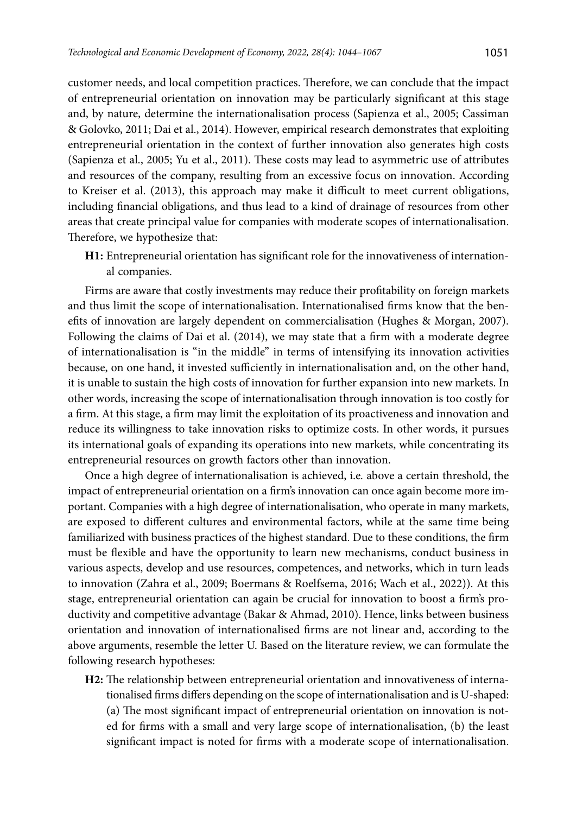customer needs, and local competition practices. Therefore, we can conclude that the impact of entrepreneurial orientation on innovation may be particularly significant at this stage and, by nature, determine the internationalisation process (Sapienza et al., 2005; Cassiman & Golovko, 2011; Dai et al., 2014). However, empirical research demonstrates that exploiting entrepreneurial orientation in the context of further innovation also generates high costs (Sapienza et al., 2005; Yu et al., 2011). These costs may lead to asymmetric use of attributes and resources of the company, resulting from an excessive focus on innovation. According to Kreiser et al. (2013), this approach may make it difficult to meet current obligations, including financial obligations, and thus lead to a kind of drainage of resources from other areas that create principal value for companies with moderate scopes of internationalisation. Therefore, we hypothesize that:

**H1:** Entrepreneurial orientation has significant role for the innovativeness of international companies.

Firms are aware that costly investments may reduce their profitability on foreign markets and thus limit the scope of internationalisation. Internationalised firms know that the benefits of innovation are largely dependent on commercialisation (Hughes & Morgan, 2007). Following the claims of Dai et al. (2014), we may state that a firm with a moderate degree of internationalisation is "in the middle" in terms of intensifying its innovation activities because, on one hand, it invested sufficiently in internationalisation and, on the other hand, it is unable to sustain the high costs of innovation for further expansion into new markets. In other words, increasing the scope of internationalisation through innovation is too costly for a firm. At this stage, a firm may limit the exploitation of its proactiveness and innovation and reduce its willingness to take innovation risks to optimize costs. In other words, it pursues its international goals of expanding its operations into new markets, while concentrating its entrepreneurial resources on growth factors other than innovation.

Once a high degree of internationalisation is achieved, i.e*.* above a certain threshold, the impact of entrepreneurial orientation on a firm's innovation can once again become more important. Companies with a high degree of internationalisation, who operate in many markets, are exposed to different cultures and environmental factors, while at the same time being familiarized with business practices of the highest standard. Due to these conditions, the firm must be flexible and have the opportunity to learn new mechanisms, conduct business in various aspects, develop and use resources, competences, and networks, which in turn leads to innovation (Zahra et al., 2009; Boermans & Roelfsema, 2016; Wach et al., 2022)). At this stage, entrepreneurial orientation can again be crucial for innovation to boost a firm's productivity and competitive advantage (Bakar & Ahmad, 2010). Hence, links between business orientation and innovation of internationalised firms are not linear and, according to the above arguments, resemble the letter U. Based on the literature review, we can formulate the following research hypotheses:

**H2:** The relationship between entrepreneurial orientation and innovativeness of internationalised firms differs depending on the scope of internationalisation and is U-shaped: (a) The most significant impact of entrepreneurial orientation on innovation is noted for firms with a small and very large scope of internationalisation, (b) the least significant impact is noted for firms with a moderate scope of internationalisation.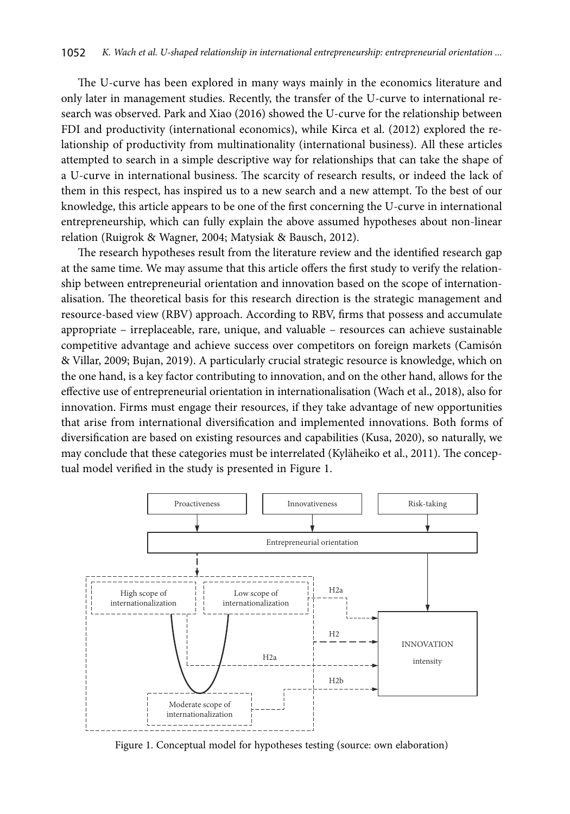The U-curve has been explored in many ways mainly in the economics literature and only later in management studies. Recently, the transfer of the U-curve to international research was observed. Park and Xiao (2016) showed the U-curve for the relationship between FDI and productivity (international economics), while Kirca et al. (2012) explored the relationship of productivity from multinationality (international business). All these articles attempted to search in a simple descriptive way for relationships that can take the shape of a U-curve in international business. The scarcity of research results, or indeed the lack of them in this respect, has inspired us to a new search and a new attempt. To the best of our knowledge, this article appears to be one of the first concerning the U-curve in international entrepreneurship, which can fully explain the above assumed hypotheses about non-linear relation (Ruigrok & Wagner, 2004; Matysiak & Bausch, 2012).

The research hypotheses result from the literature review and the identified research gap at the same time. We may assume that this article offers the first study to verify the relationship between entrepreneurial orientation and innovation based on the scope of internationalisation. The theoretical basis for this research direction is the strategic management and resource-based view (RBV) approach. According to RBV, firms that possess and accumulate appropriate – irreplaceable, rare, unique, and valuable – resources can achieve sustainable competitive advantage and achieve success over competitors on foreign markets (Camisón & Villar, 2009; Bujan, 2019). A particularly crucial strategic resource is knowledge, which on the one hand, is a key factor contributing to innovation, and on the other hand, allows for the effective use of entrepreneurial orientation in internationalisation (Wach et al., 2018), also for innovation. Firms must engage their resources, if they take advantage of new opportunities that arise from international diversification and implemented innovations. Both forms of diversification are based on existing resources and capabilities (Kusa, 2020), so naturally, we may conclude that these categories must be interrelated (Kyläheiko et al., 2011). The conceptual model verified in the study is presented in Figure 1.



Figure 1. Conceptual model for hypotheses testing (source: own elaboration)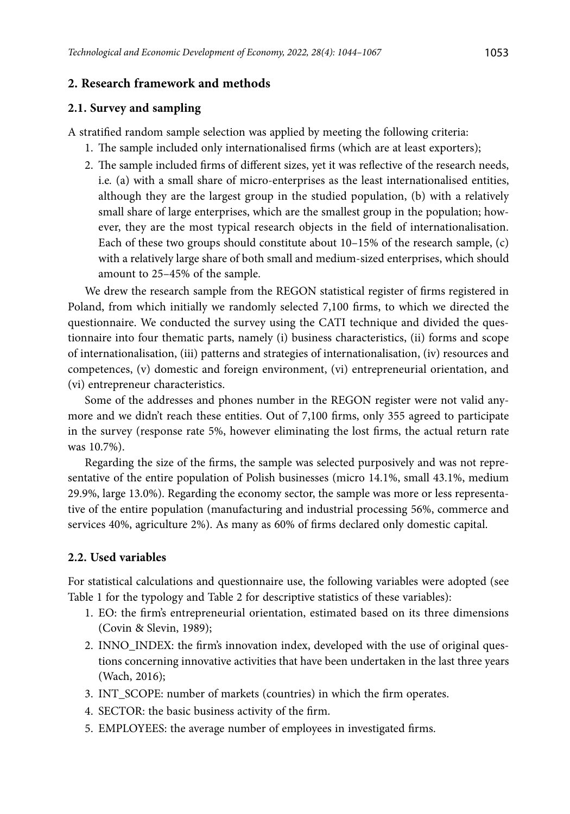## **2. Research framework and methods**

### **2.1. Survey and sampling**

A stratified random sample selection was applied by meeting the following criteria:

- 1. The sample included only internationalised firms (which are at least exporters);
- 2. The sample included firms of different sizes, yet it was reflective of the research needs, i.e*.* (a) with a small share of micro-enterprises as the least internationalised entities, although they are the largest group in the studied population, (b) with a relatively small share of large enterprises, which are the smallest group in the population; however, they are the most typical research objects in the field of internationalisation. Each of these two groups should constitute about 10–15% of the research sample, (c) with a relatively large share of both small and medium-sized enterprises, which should amount to 25–45% of the sample.

We drew the research sample from the REGON statistical register of firms registered in Poland, from which initially we randomly selected 7,100 firms, to which we directed the questionnaire. We conducted the survey using the CATI technique and divided the questionnaire into four thematic parts, namely (i) business characteristics, (ii) forms and scope of internationalisation, (iii) patterns and strategies of internationalisation, (iv) resources and competences, (v) domestic and foreign environment, (vi) entrepreneurial orientation, and (vi) entrepreneur characteristics.

Some of the addresses and phones number in the REGON register were not valid anymore and we didn't reach these entities. Out of 7,100 firms, only 355 agreed to participate in the survey (response rate 5%, however eliminating the lost firms, the actual return rate was 10.7%).

Regarding the size of the firms, the sample was selected purposively and was not representative of the entire population of Polish businesses (micro 14.1%, small 43.1%, medium 29.9%, large 13.0%). Regarding the economy sector, the sample was more or less representative of the entire population (manufacturing and industrial processing 56%, commerce and services 40%, agriculture 2%). As many as 60% of firms declared only domestic capital.

### **2.2. Used variables**

For statistical calculations and questionnaire use, the following variables were adopted (see Table 1 for the typology and Table 2 for descriptive statistics of these variables):

- 1. EO: the firm's entrepreneurial orientation, estimated based on its three dimensions (Covin & Slevin, 1989);
- 2. INNO\_INDEX: the firm's innovation index, developed with the use of original questions concerning innovative activities that have been undertaken in the last three years (Wach, 2016);
- 3. INT\_SCOPE: number of markets (countries) in which the firm operates.
- 4. SECTOR: the basic business activity of the firm.
- 5. EMPLOYEES: the average number of employees in investigated firms.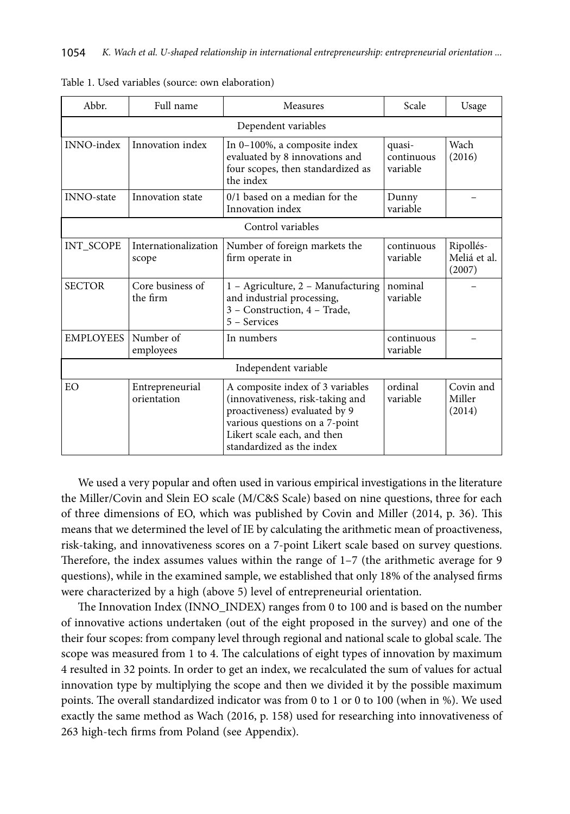| Abbr.                | Full name                      | Scale<br>Measures                                                                                                                                                                                   |                        | Usage                               |  |  |
|----------------------|--------------------------------|-----------------------------------------------------------------------------------------------------------------------------------------------------------------------------------------------------|------------------------|-------------------------------------|--|--|
| Dependent variables  |                                |                                                                                                                                                                                                     |                        |                                     |  |  |
| <b>INNO-index</b>    | Innovation index               | Wach<br>In 0-100%, a composite index<br>quasi-<br>evaluated by 8 innovations and<br>continuous<br>(2016)<br>four scopes, then standardized as<br>variable<br>the index                              |                        |                                     |  |  |
| <b>INNO-state</b>    | Innovation state               | 0/1 based on a median for the<br>Innovation index                                                                                                                                                   | Dunny<br>variable      |                                     |  |  |
|                      |                                | Control variables                                                                                                                                                                                   |                        |                                     |  |  |
| INT_SCOPE            | Internationalization<br>scope  | Number of foreign markets the<br>firm operate in                                                                                                                                                    | continuous<br>variable | Ripollés-<br>Meliá et al.<br>(2007) |  |  |
| <b>SECTOR</b>        | Core business of<br>the firm   | 1 - Agriculture, 2 - Manufacturing<br>and industrial processing,<br>3 - Construction, 4 - Trade,<br>5 - Services                                                                                    | nominal<br>variable    |                                     |  |  |
| <b>EMPLOYEES</b>     | Number of<br>employees         | In numbers                                                                                                                                                                                          | continuous<br>variable |                                     |  |  |
| Independent variable |                                |                                                                                                                                                                                                     |                        |                                     |  |  |
| EΟ.                  | Entrepreneurial<br>orientation | A composite index of 3 variables<br>(innovativeness, risk-taking and<br>proactiveness) evaluated by 9<br>various questions on a 7-point<br>Likert scale each, and then<br>standardized as the index | ordinal<br>variable    | Covin and<br>Miller<br>(2014)       |  |  |

| Table 1. Used variables (source: own elaboration) |  |  |
|---------------------------------------------------|--|--|
|---------------------------------------------------|--|--|

We used a very popular and often used in various empirical investigations in the literature the Miller/Covin and Slein EO scale (M/C&S Scale) based on nine questions, three for each of three dimensions of EO, which was published by Covin and Miller (2014, p. 36). This means that we determined the level of IE by calculating the arithmetic mean of proactiveness, risk-taking, and innovativeness scores on a 7-point Likert scale based on survey questions. Therefore, the index assumes values within the range of 1–7 (the arithmetic average for 9 questions), while in the examined sample, we established that only 18% of the analysed firms were characterized by a high (above 5) level of entrepreneurial orientation.

The Innovation Index (INNO\_INDEX) ranges from 0 to 100 and is based on the number of innovative actions undertaken (out of the eight proposed in the survey) and one of the their four scopes: from company level through regional and national scale to global scale. The scope was measured from 1 to 4. The calculations of eight types of innovation by maximum 4 resulted in 32 points. In order to get an index, we recalculated the sum of values for actual innovation type by multiplying the scope and then we divided it by the possible maximum points. The overall standardized indicator was from 0 to 1 or 0 to 100 (when in %). We used exactly the same method as Wach (2016, p. 158) used for researching into innovativeness of 263 high-tech firms from Poland (see Appendix).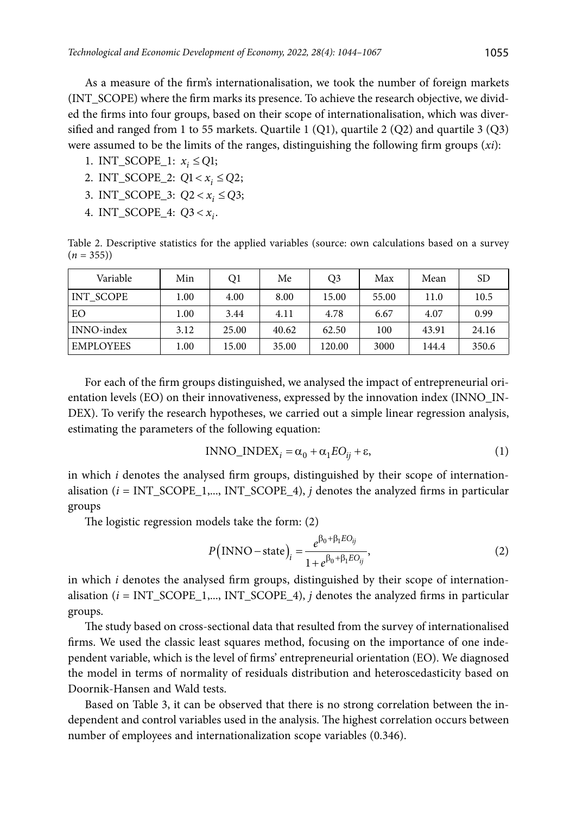As a measure of the firm's internationalisation, we took the number of foreign markets (INT\_SCOPE) where the firm marks its presence. To achieve the research objective, we divided the firms into four groups, based on their scope of internationalisation, which was diversified and ranged from 1 to 55 markets. Quartile 1  $(Q1)$ , quartile 2  $(Q2)$  and quartile 3  $(Q3)$ were assumed to be the limits of the ranges, distinguishing the following firm groups (*xi*):

- 1. INT\_SCOPE\_1:  $x_i \leq Q1$ ;
- 2. INT\_SCOPE\_2:  $Q1 < x_i \leq Q2$ ;
- 3. INT\_SCOPE\_3:  $Q2 < x_i \le Q3$ ;
- 4. INT\_SCOPE\_4:  $Q3 < x_i$ .

Table 2. Descriptive statistics for the applied variables (source: own calculations based on a survey  $(n = 355)$ 

| Variable         | Min  | Q1    | Me    | O3     | Max   | Mean  | <b>SD</b> |
|------------------|------|-------|-------|--------|-------|-------|-----------|
| INT SCOPE        | 1.00 | 4.00  | 8.00  | 15.00  | 55.00 | 11.0  | 10.5      |
| EO               | 1.00 | 3.44  | 4.11  | 4.78   | 6.67  | 4.07  | 0.99      |
| INNO-index       | 3.12 | 25.00 | 40.62 | 62.50  | 100   | 43.91 | 24.16     |
| <b>EMPLOYEES</b> | 1.00 | 15.00 | 35.00 | 120.00 | 3000  | 144.4 | 350.6     |

For each of the firm groups distinguished, we analysed the impact of entrepreneurial orientation levels (EO) on their innovativeness, expressed by the innovation index (INNO\_IN-DEX). To verify the research hypotheses, we carried out a simple linear regression analysis, estimating the parameters of the following equation:

$$
INNO\_INDEX_i = \alpha_0 + \alpha_1 EO_{ij} + \varepsilon,
$$
\n(1)

in which *i* denotes the analysed firm groups, distinguished by their scope of internationalisation  $(i = INT$  SCOPE 1,..., INT SCOPE 4), *j* denotes the analyzed firms in particular groups

The logistic regression models take the form: (2)

$$
P\left(\text{INNO} - \text{state}\right)_i = \frac{e^{\beta_0 + \beta_1 EO_{ij}}}{1 + e^{\beta_0 + \beta_1 EO_{ij}}},\tag{2}
$$

in which *i* denotes the analysed firm groups, distinguished by their scope of internationalisation (*i* = INT\_SCOPE\_1,..., INT\_SCOPE\_4), *j* denotes the analyzed firms in particular groups.

The study based on cross-sectional data that resulted from the survey of internationalised firms. We used the classic least squares method, focusing on the importance of one independent variable, which is the level of firms' entrepreneurial orientation (EO). We diagnosed the model in terms of normality of residuals distribution and heteroscedasticity based on Doornik-Hansen and Wald tests.

Based on Table 3, it can be observed that there is no strong correlation between the independent and control variables used in the analysis. The highest correlation occurs between number of employees and internationalization scope variables (0.346).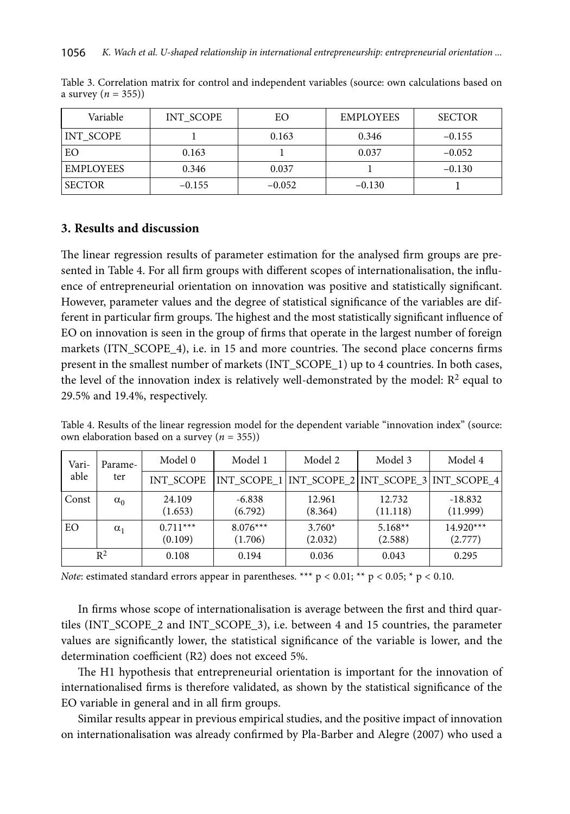| Variable  | INT SCOPE | EΟ       | <b>EMPLOYEES</b> | <b>SECTOR</b> |
|-----------|-----------|----------|------------------|---------------|
| INT SCOPE |           | 0.163    | 0.346            | $-0.155$      |
| EО        | 0.163     |          | 0.037            | $-0.052$      |
| EMPLOYEES | 0.346     | 0.037    |                  | $-0.130$      |
| SECTOR    | $-0.155$  | $-0.052$ | $-0.130$         |               |

Table 3. Correlation matrix for control and independent variables (source: own calculations based on a survey  $(n = 355)$ )

## **3. Results and discussion**

The linear regression results of parameter estimation for the analysed firm groups are presented in Table 4. For all firm groups with different scopes of internationalisation, the influence of entrepreneurial orientation on innovation was positive and statistically significant. However, parameter values and the degree of statistical significance of the variables are different in particular firm groups. The highest and the most statistically significant influence of EO on innovation is seen in the group of firms that operate in the largest number of foreign markets (ITN\_SCOPE\_4), i.e. in 15 and more countries. The second place concerns firms present in the smallest number of markets (INT\_SCOPE\_1) up to 4 countries. In both cases, the level of the innovation index is relatively well-demonstrated by the model:  $\mathbb{R}^2$  equal to 29.5% and 19.4%, respectively.

Table 4. Results of the linear regression model for the dependent variable "innovation index" (source: own elaboration based on a survey (*n* = 355))

| Vari- | Parame-<br>ter | Model 0               | Model 1               | Model 2<br>Model 3                              |                      | Model 4                |
|-------|----------------|-----------------------|-----------------------|-------------------------------------------------|----------------------|------------------------|
| able  |                | <b>INT SCOPE</b>      |                       | INT_SCOPE_1 INT_SCOPE_2 INT_SCOPE_3 INT_SCOPE_4 |                      |                        |
| Const | $\alpha_0$     | 24.109<br>(1.653)     | $-6.838$<br>(6.792)   | 12.961<br>(8.364)                               | 12.732<br>(11.118)   | $-18.832$<br>(11.999)  |
| EO    | $\alpha_1$     | $0.711***$<br>(0.109) | $8.076***$<br>(1.706) | $3.760*$<br>(2.032)                             | $5.168**$<br>(2.588) | $14.920***$<br>(2.777) |
|       | $R^2$          | 0.108                 | 0.194                 | 0.036                                           | 0.043                | 0.295                  |

*Note*: estimated standard errors appear in parentheses. \*\*\*  $p < 0.01$ ; \*\*  $p < 0.05$ ; \*  $p < 0.10$ .

In firms whose scope of internationalisation is average between the first and third quartiles (INT\_SCOPE\_2 and INT\_SCOPE\_3), i.e. between 4 and 15 countries, the parameter values are significantly lower, the statistical significance of the variable is lower, and the determination coefficient (R2) does not exceed 5%.

The H1 hypothesis that entrepreneurial orientation is important for the innovation of internationalised firms is therefore validated, as shown by the statistical significance of the EO variable in general and in all firm groups.

Similar results appear in previous empirical studies, and the positive impact of innovation on internationalisation was already confirmed by Pla-Barber and Alegre (2007) who used a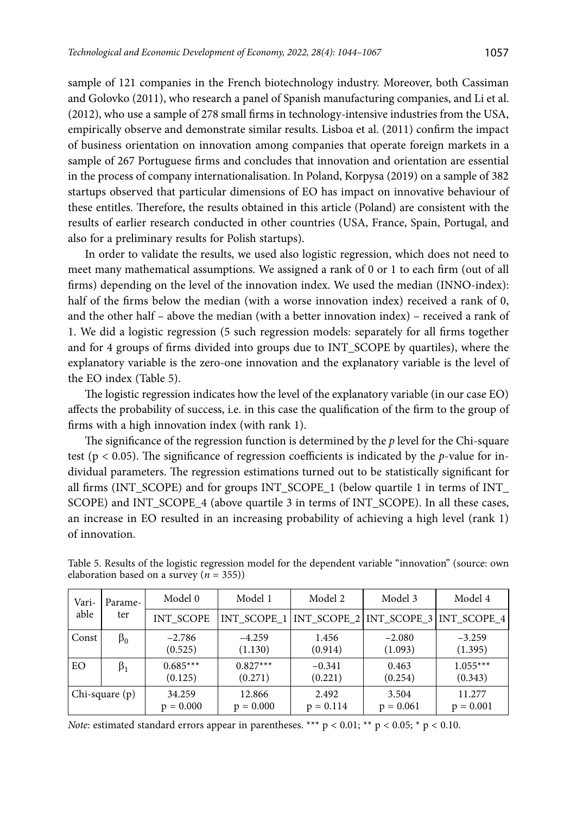sample of 121 companies in the French biotechnology industry. Moreover, both Cassiman and Golovko (2011), who research a panel of Spanish manufacturing companies, and Li et al. (2012), who use a sample of 278 small firms in technology-intensive industries from the USA, empirically observe and demonstrate similar results. Lisboa et al. (2011) confirm the impact of business orientation on innovation among companies that operate foreign markets in a sample of 267 Portuguese firms and concludes that innovation and orientation are essential in the process of company internationalisation. In Poland, Korpysa (2019) on a sample of 382 startups observed that particular dimensions of EO has impact on innovative behaviour of these entitles. Therefore, the results obtained in this article (Poland) are consistent with the results of earlier research conducted in other countries (USA, France, Spain, Portugal, and also for a preliminary results for Polish startups).

In order to validate the results, we used also logistic regression, which does not need to meet many mathematical assumptions. We assigned a rank of 0 or 1 to each firm (out of all firms) depending on the level of the innovation index. We used the median (INNO-index): half of the firms below the median (with a worse innovation index) received a rank of 0, and the other half – above the median (with a better innovation index) – received a rank of 1. We did a logistic regression (5 such regression models: separately for all firms together and for 4 groups of firms divided into groups due to INT\_SCOPE by quartiles), where the explanatory variable is the zero-one innovation and the explanatory variable is the level of the EO index (Table 5).

The logistic regression indicates how the level of the explanatory variable (in our case EO) affects the probability of success, i.e. in this case the qualification of the firm to the group of firms with a high innovation index (with rank 1).

The significance of the regression function is determined by the *p* level for the Chi-square test (p < 0.05). The significance of regression coefficients is indicated by the *p*-value for individual parameters. The regression estimations turned out to be statistically significant for all firms (INT\_SCOPE) and for groups INT\_SCOPE\_1 (below quartile 1 in terms of INT\_ SCOPE) and INT\_SCOPE\_4 (above quartile 3 in terms of INT\_SCOPE). In all these cases, an increase in EO resulted in an increasing probability of achieving a high level (rank 1) of innovation.

| Vari- | Parame-<br>ter  | Model 0               | Model 1               | Model 2<br>Model 3                                    |                      | Model 4               |
|-------|-----------------|-----------------------|-----------------------|-------------------------------------------------------|----------------------|-----------------------|
| able  |                 | <b>INT SCOPE</b>      |                       | INT_SCOPE_1   INT_SCOPE_2   INT_SCOPE_3   INT_SCOPE_4 |                      |                       |
| Const | $\beta_0$       | $-2.786$<br>(0.525)   | $-4.259$<br>(1.130)   | 1.456<br>(0.914)                                      | $-2.080$<br>(1.093)  | $-3.259$<br>(1.395)   |
| EO    | $\beta_1$       | $0.685***$<br>(0.125) | $0.827***$<br>(0.271) | $-0.341$<br>(0.221)                                   | 0.463<br>(0.254)     | $1.055***$<br>(0.343) |
|       | $Chi-square(p)$ | 34.259<br>$p = 0.000$ | 12.866<br>$p = 0.000$ | 2.492<br>$p = 0.114$                                  | 3.504<br>$p = 0.061$ | 11.277<br>$p = 0.001$ |

Table 5. Results of the logistic regression model for the dependent variable "innovation" (source: own elaboration based on a survey  $(n = 355)$ )

*Note*: estimated standard errors appear in parentheses. \*\*\*  $p < 0.01$ ; \*\*  $p < 0.05$ ; \*  $p < 0.10$ .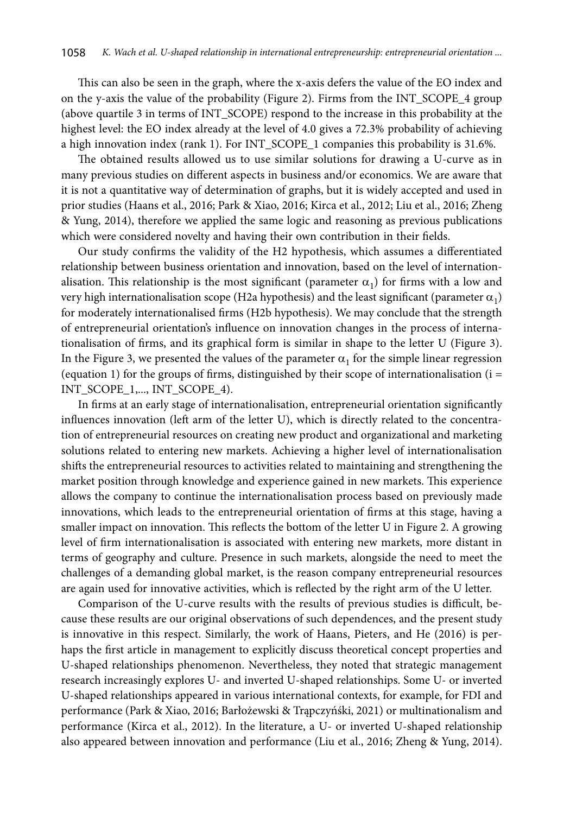This can also be seen in the graph, where the x-axis defers the value of the EO index and on the y-axis the value of the probability (Figure 2). Firms from the INT\_SCOPE\_4 group (above quartile 3 in terms of INT\_SCOPE) respond to the increase in this probability at the highest level: the EO index already at the level of 4.0 gives a 72.3% probability of achieving a high innovation index (rank 1). For INT\_SCOPE\_1 companies this probability is 31.6%.

The obtained results allowed us to use similar solutions for drawing a U-curve as in many previous studies on different aspects in business and/or economics. We are aware that it is not a quantitative way of determination of graphs, but it is widely accepted and used in prior studies (Haans et al., 2016; Park & Xiao, 2016; Kirca et al., 2012; Liu et al., 2016; Zheng & Yung, 2014), therefore we applied the same logic and reasoning as previous publications which were considered novelty and having their own contribution in their fields.

Our study confirms the validity of the H2 hypothesis, which assumes a differentiated relationship between business orientation and innovation, based on the level of internationalisation. This relationship is the most significant (parameter  $\alpha_1$ ) for firms with a low and very high internationalisation scope (H2a hypothesis) and the least significant (parameter  $\alpha_1$ ) for moderately internationalised firms (H2b hypothesis). We may conclude that the strength of entrepreneurial orientation's influence on innovation changes in the process of internationalisation of firms, and its graphical form is similar in shape to the letter U (Figure 3). In the Figure 3, we presented the values of the parameter  $\alpha_1$  for the simple linear regression (equation 1) for the groups of firms, distinguished by their scope of internationalisation (i = INT\_SCOPE\_1,..., INT\_SCOPE\_4).

In firms at an early stage of internationalisation, entrepreneurial orientation significantly influences innovation (left arm of the letter U), which is directly related to the concentration of entrepreneurial resources on creating new product and organizational and marketing solutions related to entering new markets. Achieving a higher level of internationalisation shifts the entrepreneurial resources to activities related to maintaining and strengthening the market position through knowledge and experience gained in new markets. This experience allows the company to continue the internationalisation process based on previously made innovations, which leads to the entrepreneurial orientation of firms at this stage, having a smaller impact on innovation. This reflects the bottom of the letter U in Figure 2. A growing level of firm internationalisation is associated with entering new markets, more distant in terms of geography and culture. Presence in such markets, alongside the need to meet the challenges of a demanding global market, is the reason company entrepreneurial resources are again used for innovative activities, which is reflected by the right arm of the U letter.

Comparison of the U-curve results with the results of previous studies is difficult, because these results are our original observations of such dependences, and the present study is innovative in this respect. Similarly, the work of Haans, Pieters, and He (2016) is perhaps the first article in management to explicitly discuss theoretical concept properties and U-shaped relationships phenomenon. Nevertheless, they noted that strategic management research increasingly explores U- and inverted U-shaped relationships. Some U- or inverted U-shaped relationships appeared in various international contexts, for example, for FDI and performance (Park & Xiao, 2016; Barłożewski & Trąpczyńśki, 2021) or multinationalism and performance (Kirca et al., 2012). In the literature, a U- or inverted U-shaped relationship also appeared between innovation and performance (Liu et al., 2016; Zheng & Yung, 2014).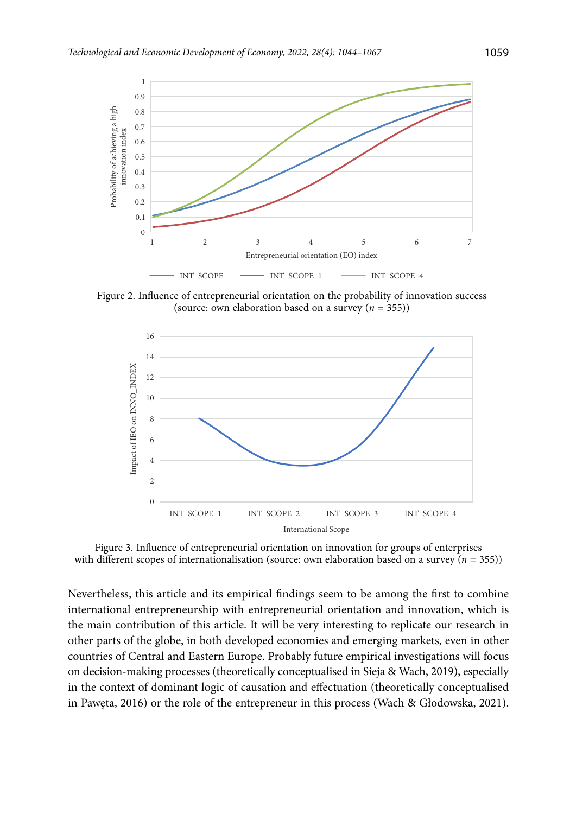

Figure 2. Influence of entrepreneurial orientation on the probability of innovation success (source: own elaboration based on a survey (*n* = 355))



Figure 3. Influence of entrepreneurial orientation on innovation for groups of enterprises with different scopes of internationalisation (source: own elaboration based on a survey  $(n = 355)$ )

Nevertheless, this article and its empirical findings seem to be among the first to combine international entrepreneurship with entrepreneurial orientation and innovation, which is the main contribution of this article. It will be very interesting to replicate our research in other parts of the globe, in both developed economies and emerging markets, even in other countries of Central and Eastern Europe. Probably future empirical investigations will focus on decision-making processes (theoretically conceptualised in Sieja & Wach, 2019), especially in the context of dominant logic of causation and effectuation (theoretically conceptualised in Pawęta, 2016) or the role of the entrepreneur in this process (Wach & Głodowska, 2021).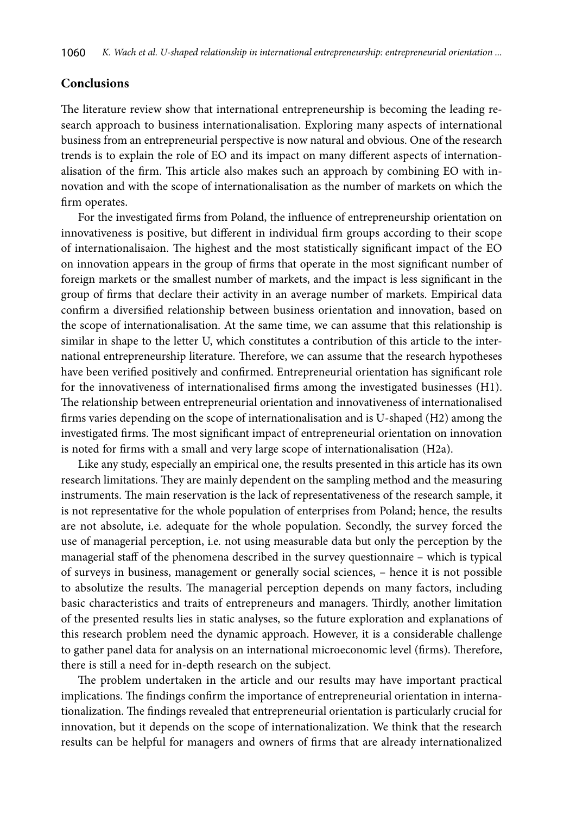# **Conclusions**

The literature review show that international entrepreneurship is becoming the leading research approach to business internationalisation. Exploring many aspects of international business from an entrepreneurial perspective is now natural and obvious. One of the research trends is to explain the role of EO and its impact on many different aspects of internationalisation of the firm. This article also makes such an approach by combining EO with innovation and with the scope of internationalisation as the number of markets on which the firm operates.

For the investigated firms from Poland, the influence of entrepreneurship orientation on innovativeness is positive, but different in individual firm groups according to their scope of internationalisaion. The highest and the most statistically significant impact of the EO on innovation appears in the group of firms that operate in the most significant number of foreign markets or the smallest number of markets, and the impact is less significant in the group of firms that declare their activity in an average number of markets. Empirical data confirm a diversified relationship between business orientation and innovation, based on the scope of internationalisation. At the same time, we can assume that this relationship is similar in shape to the letter U, which constitutes a contribution of this article to the international entrepreneurship literature. Therefore, we can assume that the research hypotheses have been verified positively and confirmed. Entrepreneurial orientation has significant role for the innovativeness of internationalised firms among the investigated businesses (H1). The relationship between entrepreneurial orientation and innovativeness of internationalised firms varies depending on the scope of internationalisation and is U-shaped (H2) among the investigated firms. The most significant impact of entrepreneurial orientation on innovation is noted for firms with a small and very large scope of internationalisation (H2a).

Like any study, especially an empirical one, the results presented in this article has its own research limitations. They are mainly dependent on the sampling method and the measuring instruments. The main reservation is the lack of representativeness of the research sample, it is not representative for the whole population of enterprises from Poland; hence, the results are not absolute, i.e*.* adequate for the whole population. Secondly, the survey forced the use of managerial perception, i.e*.* not using measurable data but only the perception by the managerial staff of the phenomena described in the survey questionnaire – which is typical of surveys in business, management or generally social sciences, – hence it is not possible to absolutize the results. The managerial perception depends on many factors, including basic characteristics and traits of entrepreneurs and managers. Thirdly, another limitation of the presented results lies in static analyses, so the future exploration and explanations of this research problem need the dynamic approach. However, it is a considerable challenge to gather panel data for analysis on an international microeconomic level (firms). Therefore, there is still a need for in-depth research on the subject.

The problem undertaken in the article and our results may have important practical implications. The findings confirm the importance of entrepreneurial orientation in internationalization. The findings revealed that entrepreneurial orientation is particularly crucial for innovation, but it depends on the scope of internationalization. We think that the research results can be helpful for managers and owners of firms that are already internationalized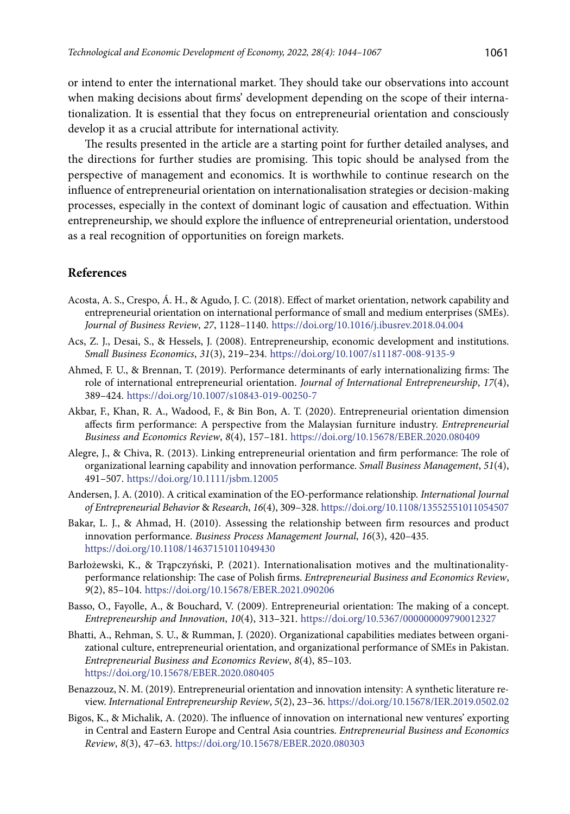or intend to enter the international market. They should take our observations into account when making decisions about firms' development depending on the scope of their internationalization. It is essential that they focus on entrepreneurial orientation and consciously develop it as a crucial attribute for international activity.

The results presented in the article are a starting point for further detailed analyses, and the directions for further studies are promising. This topic should be analysed from the perspective of management and economics. It is worthwhile to continue research on the influence of entrepreneurial orientation on internationalisation strategies or decision-making processes, especially in the context of dominant logic of causation and effectuation. Within entrepreneurship, we should explore the influence of entrepreneurial orientation, understood as a real recognition of opportunities on foreign markets.

## **References**

- Acosta, A. S., Crespo, Á. H., & Agudo, J. C. (2018). Effect of market orientation, network capability and entrepreneurial orientation on international performance of small and medium enterprises (SMEs). *Journal of Business Review*, *27*, 1128–1140. <https://doi.org/10.1016/j.ibusrev.2018.04.004>
- Acs, Z. J., Desai, S., & Hessels, J. (2008). Entrepreneurship, economic development and institutions. *Small Business Economics*, *31*(3), 219–234. <https://doi.org/10.1007/s11187-008-9135-9>
- Ahmed, F. U., & Brennan, T. (2019). Performance determinants of early internationalizing firms: The role of international entrepreneurial orientation. *Journal of International Entrepreneurship*, *17*(4), 389–424. <https://doi.org/10.1007/s10843-019-00250-7>
- Akbar, F., Khan, R. A., Wadood, F., & Bin Bon, A. T. (2020). Entrepreneurial orientation dimension affects firm performance: A perspective from the Malaysian furniture industry. *Entrepreneurial Business and Economics Review*, *8*(4), 157–181. <https://doi.org/10.15678/EBER.2020.080409>
- Alegre, J., & Chiva, R. (2013). Linking entrepreneurial orientation and firm performance: The role of organizational learning capability and innovation performance. *Small Business Management*, *51*(4), 491–507. <https://doi.org/10.1111/jsbm.12005>
- Andersen, J. A. (2010). A critical examination of the EO-performance relationship. *International Journal of Entrepreneurial Behavior* & *Research*, *16*(4), 309–328.<https://doi.org/10.1108/13552551011054507>
- Bakar, L. J., & Ahmad, H. (2010). Assessing the relationship between firm resources and product innovation performance. *Business Process Management Journal*, *16*(3), 420–435. <https://doi.org/10.1108/14637151011049430>
- Barłożewski, K., & Trąpczyński, P. (2021). Internationalisation motives and the multinationalityperformance relationship: The case of Polish firms. *Entrepreneurial Business and Economics Review*, *9*(2), 85–104. <https://doi.org/10.15678/EBER.2021.090206>
- Basso, O., Fayolle, A., & Bouchard, V. (2009). Entrepreneurial orientation: The making of a concept. *Entrepreneurship and Innovation*, *10*(4), 313–321. <https://doi.org/10.5367/000000009790012327>
- Bhatti, A., Rehman, S. U., & Rumman, J. (2020). Organizational capabilities mediates between organizational culture, entrepreneurial orientation, and organizational performance of SMEs in Pakistan. *Entrepreneurial Business and Economics Review*, *8*(4), 85–103. <https://doi.org/10.15678/EBER.2020.080405>
- Benazzouz, N. M. (2019). Entrepreneurial orientation and innovation intensity: A synthetic literature review. *International Entrepreneurship Review*, *5*(2), 23–36. <https://doi.org/10.15678/IER.2019.0502.02>
- Bigos, K., & Michalik, A. (2020). The influence of innovation on international new ventures' exporting in Central and Eastern Europe and Central Asia countries. *Entrepreneurial Business and Economics Review*, *8*(3), 47–63.<https://doi.org/10.15678/EBER.2020.080303>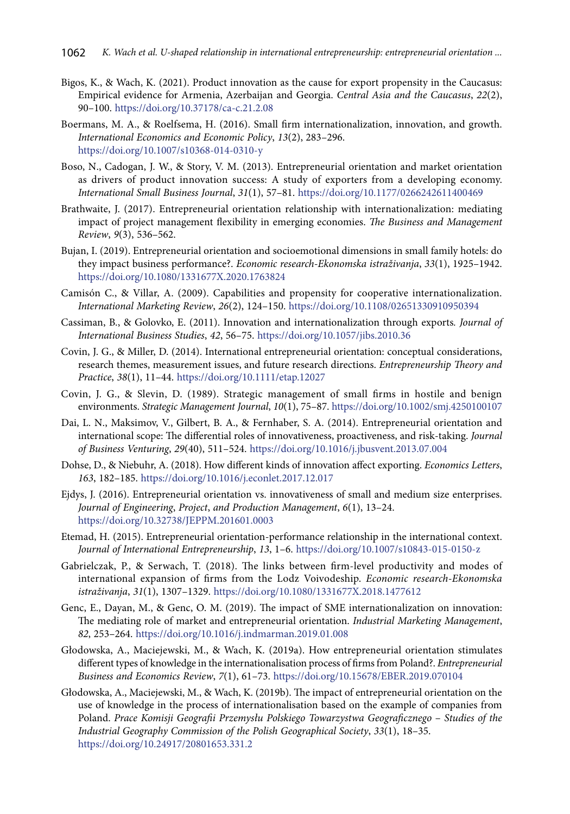- Bigos, K., & Wach, K. (2021). Product innovation as the cause for export propensity in the Caucasus: Empirical evidence for Armenia, Azerbaijan and Georgia. *Central Asia and the Caucasus*, *22*(2), 90–100. <https://doi.org/10.37178/ca-c.21.2.08>
- Boermans, M. A., & Roelfsema, H. (2016). Small firm internationalization, innovation, and growth. *International Economics and Economic Policy*, *13*(2), 283–296. <https://doi.org/10.1007/s10368-014-0310-y>
- Boso, N., Cadogan, J. W., & Story, V. M. (2013). Entrepreneurial orientation and market orientation as drivers of product innovation success: A study of exporters from a developing economy. *International Small Business Journal*, *31*(1), 57–81. <https://doi.org/10.1177/0266242611400469>
- Brathwaite, J. (2017). Entrepreneurial orientation relationship with internationalization: mediating impact of project management flexibility in emerging economies. *The Business and Management Review*, *9*(3), 536–562.
- Bujan, I. (2019). Entrepreneurial orientation and socioemotional dimensions in small family hotels: do they impact business performance?. *Economic research-Ekonomska istraživanja*, *33*(1), 1925–1942. <https://doi.org/10.1080/1331677X.2020.1763824>
- Camisón C., & Villar, A. (2009). Capabilities and propensity for cooperative internationalization. *International Marketing Review*, *26*(2), 124–150. <https://doi.org/10.1108/02651330910950394>
- Cassiman, B., & Golovko, E. (2011). Innovation and internationalization through exports*. Journal of International Business Studies*, *42*, 56–75. <https://doi.org/10.1057/jibs.2010.36>
- Covin, J. G., & Miller, D. (2014). International entrepreneurial orientation: conceptual considerations, research themes, measurement issues, and future research directions. *Entrepreneurship Theory and Practice*, *38*(1), 11–44. <https://doi.org/10.1111/etap.12027>
- Covin, J. G., & Slevin, D. (1989). Strategic management of small firms in hostile and benign environments. *Strategic Management Journal*, *10*(1), 75–87. https://doi.org/10.1002/smj.4250100107
- Dai, L. N., Maksimov, V., Gilbert, B. A., & Fernhaber, S. A. (2014). Entrepreneurial orientation and international scope: The differential roles of innovativeness, proactiveness, and risk-taking. *Journal of Business Venturing*, *29*(40), 511–524. <https://doi.org/10.1016/j.jbusvent.2013.07.004>
- Dohse, D., & Niebuhr, A. (2018). How different kinds of innovation affect exporting. *Economics Letters*, *163*, 182–185. <https://doi.org/10.1016/j.econlet.2017.12.017>
- Ejdys, J. (2016). Entrepreneurial orientation vs. innovativeness of small and medium size enterprises. *Journal of Engineering*, *Project*, *and Production Management*, *6*(1), 13–24. <https://doi.org/10.32738/JEPPM.201601.0003>
- Etemad, H. (2015). Entrepreneurial orientation-performance relationship in the international context. *Journal of International Entrepreneurship*, *13*, 1–6. <https://doi.org/10.1007/s10843-015-0150-z>
- Gabrielczak, P., & Serwach, T. (2018). The links between firm-level productivity and modes of international expansion of firms from the Lodz Voivodeship. *Economic research-Ekonomska istraživanja*, *31*(1), 1307–1329. <https://doi.org/10.1080/1331677X.2018.1477612>
- Genc, E., Dayan, M., & Genc, O. M. (2019). The impact of SME internationalization on innovation: The mediating role of market and entrepreneurial orientation. *Industrial Marketing Management*, *82*, 253–264.<https://doi.org/10.1016/j.indmarman.2019.01.008>
- Głodowska, A., Maciejewski, M., & Wach, K. (2019a). How entrepreneurial orientation stimulates different types of knowledge in the internationalisation process of firms from Poland?. *Entrepreneurial Business and Economics Review*, *7*(1), 61–73. <https://doi.org/10.15678/EBER.2019.070104>
- Głodowska, A., Maciejewski, M., & Wach, K. (2019b). The impact of entrepreneurial orientation on the use of knowledge in the process of internationalisation based on the example of companies from Poland. *Prace Komisji Geografii Przemysłu Polskiego Towarzystwa Geograficznego* – *Studies of the Industrial Geography Commission of the Polish Geographical Society*, *33*(1), 18–35. <https://doi.org/10.24917/20801653.331.2>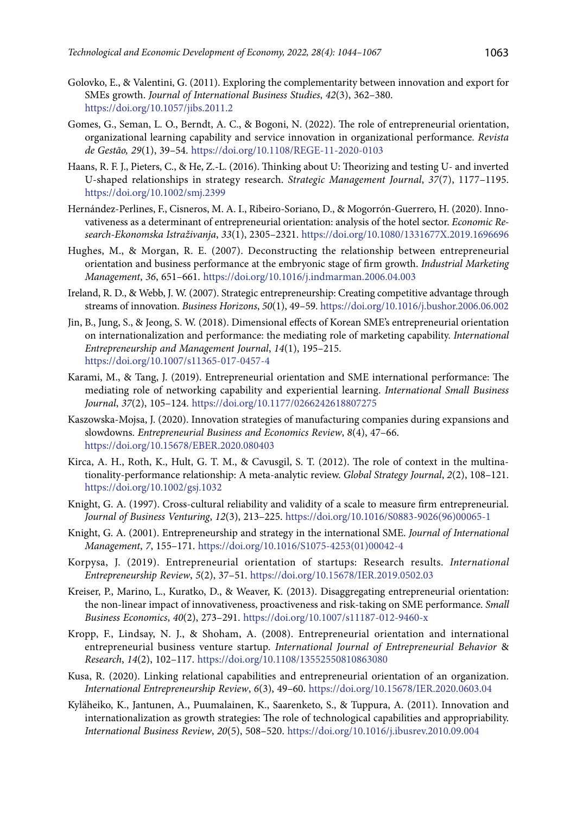- Golovko, E., & Valentini, G. (2011). Exploring the complementarity between innovation and export for SMEs growth. *Journal of International Business Studies*, *42*(3), 362–380. <https://doi.org/10.1057/jibs.2011.2>
- Gomes, G., Seman, L. O., Berndt, A. C., & Bogoni, N. (2022). The role of entrepreneurial orientation, organizational learning capability and service innovation in organizational performance. *Revista de Gestão, 29*(1), 39–54. <https://doi.org/10.1108/REGE-11-2020-0103>
- Haans, R. F. J., Pieters, C., & He, Z.-L. (2016). Thinking about U: Theorizing and testing U‐ and inverted U‐shaped relationships in strategy research. *Strategic Management Journal*, *37*(7), 1177–1195. <https://doi.org/10.1002/smj.2399>
- Hernández-Perlines, F., Cisneros, M. A. I., Ribeiro-Soriano, D., & Mogorrón-Guerrero, H. (2020). Innovativeness as a determinant of entrepreneurial orientation: analysis of the hotel sector. *Economic Research-Ekonomska Istraživanja*, *33*(1), 2305–2321. <https://doi.org/10.1080/1331677X.2019.1696696>
- Hughes, M., & Morgan, R. E. (2007). Deconstructing the relationship between entrepreneurial orientation and business performance at the embryonic stage of firm growth. *Industrial Marketing Management*, *36*, 651–661. <https://doi.org/10.1016/j.indmarman.2006.04.003>
- Ireland, R. D., & Webb, J. W. (2007). Strategic entrepreneurship: Creating competitive advantage through streams of innovation. *[Business Horizons](https://econpapers.repec.org/article/eeebushor/)*, *50*(1), 49–59. <https://doi.org/10.1016/j.bushor.2006.06.002>
- Jin, B., Jung, S., & Jeong, S. W. (2018). [Dimensional effects of Korean SME's entrepreneurial orientation](https://ideas.repec.org/a/spr/intemj/v14y2018i1d10.1007_s11365-017-0457-4.html) [on internationalization and performance: the mediating role of marketing capability](https://ideas.repec.org/a/spr/intemj/v14y2018i1d10.1007_s11365-017-0457-4.html). *[International](https://ideas.repec.org/s/spr/intemj.html) [Entrepreneurship and Management Journal](https://ideas.repec.org/s/spr/intemj.html)*, *14*(1), 195–215. <https://doi.org/10.1007/s11365-017-0457-4>
- Karami, M., & Tang, J. (2019). Entrepreneurial orientation and SME international performance: The mediating role of networking capability and experiential learning. *International Small Business Journal*, *37*(2), 105–124. <https://doi.org/10.1177/0266242618807275>
- Kaszowska-Mojsa, J. (2020). Innovation strategies of manufacturing companies during expansions and slowdowns. *Entrepreneurial Business and Economics Review*, *8*(4), 47–66. <https://doi.org/10.15678/EBER.2020.080403>
- Kirca, A. H., Roth, K., Hult, G. T. M., & Cavusgil, S. T. (2012). The role of context in the multinationality‐performance relationship: A meta‐analytic review. *Global Strategy Journal*, *2*(2), 108–121. <https://doi.org/10.1002/gsj.1032>
- Knight, G. A. (1997). Cross-cultural reliability and validity of a scale to measure firm entrepreneurial. *Journal of Business Venturing*, *12*(3), 213–225. [https://doi.org/10.1016/S0883-9026\(96\)00065-1](https://doi.org/10.1016/S0883-9026(96)00065-1)
- Knight, G. A. (2001). Entrepreneurship and strategy in the international SME. *Journal of International Management*, *7*, 155–171. [https://doi.org/10.1016/S1075-4253\(01\)00042-4](https://doi.org/10.1016/S1075-4253(01)00042-4)
- Korpysa, J. (2019). Entrepreneurial orientation of startups: Research results. *International Entrepreneurship Review*, *5*(2), 37–51. <https://doi.org/10.15678/IER.2019.0502.03>
- Kreiser, P., Marino, L., Kuratko, D., & Weaver, K. (2013). [Disaggregating entrepreneurial orientation:](https://ideas.repec.org/a/kap/sbusec/v40y2013i2p273-291.html) [the non-linear impact of innovativeness, proactiveness and risk-taking on SME performance](https://ideas.repec.org/a/kap/sbusec/v40y2013i2p273-291.html). *[Small](https://ideas.repec.org/s/kap/sbusec.html) [Business Economics](https://ideas.repec.org/s/kap/sbusec.html)*, *40*(2), 273–291. <https://doi.org/10.1007/s11187-012-9460-x>
- Kropp, F., Lindsay, N. J., & Shoham, A. (2008). Entrepreneurial orientation and international entrepreneurial business venture startup. *International Journal of Entrepreneurial Behavior* & *Research*, *14*(2), 102–117. <https://doi.org/10.1108/13552550810863080>
- Kusa, R. (2020). Linking relational capabilities and entrepreneurial orientation of an organization. *International Entrepreneurship Review*, *6*(3), 49–60. <https://doi.org/10.15678/IER.2020.0603.04>
- Kyläheiko, K., Jantunen, A., Puumalainen, K., Saarenketo, S., & Tuppura, A. (2011). [Innovation and](https://ideas.repec.org/a/eee/iburev/v20y2011i5p508-520.html) [internationalization as growth strategies: The role of technological capabilities and appropriability](https://ideas.repec.org/a/eee/iburev/v20y2011i5p508-520.html). *[International Business Review](https://ideas.repec.org/s/eee/iburev.html)*, *20*(5), 508–520. <https://doi.org/10.1016/j.ibusrev.2010.09.004>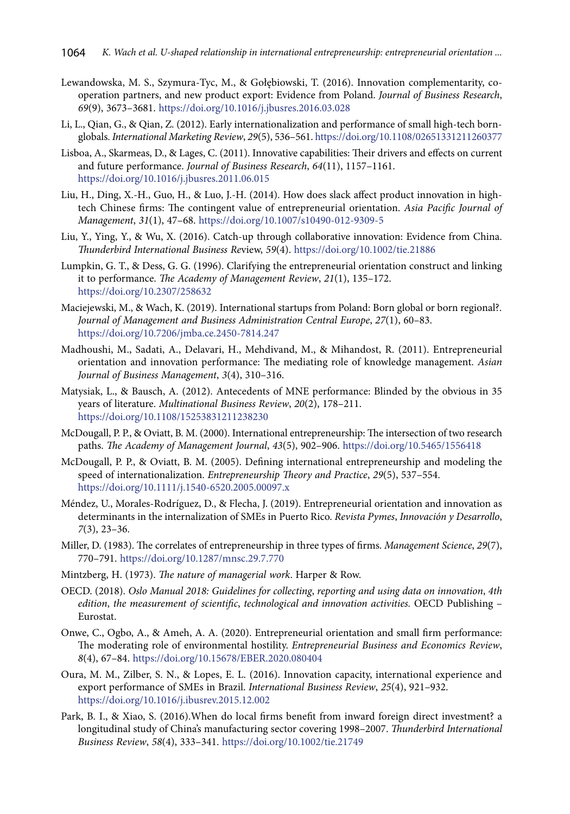- Lewandowska, M. S., Szymura-Tyc, M., & Gołębiowski, T. (2016). Innovation complementarity, cooperation partners, and new product export: Evidence from Poland. *Journal of Business Research*, *69*(9), 3673–3681. <https://doi.org/10.1016/j.jbusres.2016.03.028>
- Li, L., Qian, G., & Qian, Z. (2012). Early internationalization and performance of small high-tech bornglobals. *International Marketing Review*, *29*(5), 536–561. <https://doi.org/10.1108/02651331211260377>
- Lisboa, A., Skarmeas, D., & Lages, C. (2011). [Innovative capabilities: Their drivers and effects on current](https://ideas.repec.org/a/eee/jbrese/v64y2011i11p1157-1161.html)  [and future performance.](https://ideas.repec.org/a/eee/jbrese/v64y2011i11p1157-1161.html) *[Journal of Business Research](https://ideas.repec.org/s/eee/jbrese.html)*, *64*(11), 1157–1161. <https://doi.org/10.1016/j.jbusres.2011.06.015>
- Liu, H., Ding, X.-H., Guo, H., & Luo, J.-H. (2014). How does slack affect product innovation in hightech Chinese firms: The contingent value of entrepreneurial orientation. *Asia Pacific Journal of Management*, *31*(1), 47–68. https://doi.org/10.1007/s10490-012-9309-5
- Liu, Y., Ying, Y., & Wu, X. (2016). Catch-up through collaborative innovation: Evidence from China. *Thunderbird International Business Re*view, *59*(4). <https://doi.org/10.1002/tie.21886>
- Lumpkin, G. T., & Dess, G. G. (1996). Clarifying the entrepreneurial orientation construct and linking it to performance. *The Academy of Management Review*, *21*(1), 135–172. <https://doi.org/10.2307/258632>
- Maciejewski, M., & Wach, K. (2019). International startups from Poland: Born global or born regional?. *Journal of Management and Business Administration Central Europe*, *27*(1), 60–83. <https://doi.org/10.7206/jmba.ce.2450-7814.247>
- Madhoushi, M., Sadati, A., Delavari, H., Mehdivand, M., & Mihandost, R. (2011). Entrepreneurial orientation and innovation performance: The mediating role of knowledge management. *Asian Journal of Business Management*, *3*(4), 310–316.
- Matysiak, L., & Bausch, A. (2012). Antecedents of MNE performance: Blinded by the obvious in 35 years of literature. *Multinational Business Review*, *20*(2), 178–211. <https://doi.org/10.1108/15253831211238230>
- McDougall, P. P., & Oviatt, B. M. (2000). International entrepreneurship: The intersection of two research paths. *The Academy of Management Journal*, *43*(5), 902–906. <https://doi.org/10.5465/1556418>
- McDougall, P. P., & Oviatt, B. M. (2005). Defining international entrepreneurship and modeling the speed of internationalization. *Entrepreneurship Theory and Practice*, *29*(5), 537–554. <https://doi.org/10.1111/j.1540-6520.2005.00097.x>
- Méndez, U., Morales-Rodríguez, D., & Flecha, J. (2019). Entrepreneurial orientation and innovation as determinants in the internalization of SMEs in Puerto Rico. *Revista Pymes*, *Innovación y Desarrollo*, *7*(3), 23–36.
- Miller, D. (1983). The correlates of entrepreneurship in three types of firms. *Management Science*, *29*(7), 770–791. <https://doi.org/10.1287/mnsc.29.7.770>
- Mintzberg, H. (1973). *The nature of managerial work*. Harper & Row.
- OECD. (2018). *Oslo Manual 2018: Guidelines for collecting*, *reporting and using data on innovation*, *4th edition*, *the measurement of scientific*, *technological and innovation activities.* OECD Publishing – Eurostat.
- Onwe, C., Ogbo, A., & Ameh, A. A. (2020). Entrepreneurial orientation and small firm performance: The moderating role of environmental hostility. *Entrepreneurial Business and Economics Review*, *8*(4), 67–84. <https://doi.org/10.15678/EBER.2020.080404>
- Oura, M. M., Zilber, S. N., & Lopes, E. L. (2016). [Innovation capacity, international experience and](https://ideas.repec.org/a/eee/iburev/v25y2016i4p921-932.html)  [export performance of SMEs in Brazil](https://ideas.repec.org/a/eee/iburev/v25y2016i4p921-932.html). *[International Business Review](https://ideas.repec.org/s/eee/iburev.html)*, *25*(4), 921–932. <https://doi.org/10.1016/j.ibusrev.2015.12.002>
- Park, B. I., & Xiao, S. (2016).When do local firms benefit from inward foreign direct investment? a longitudinal study of China's manufacturing sector covering 1998–2007. *Thunderbird International Business Review*, *58*(4), 333–341. <https://doi.org/10.1002/tie.21749>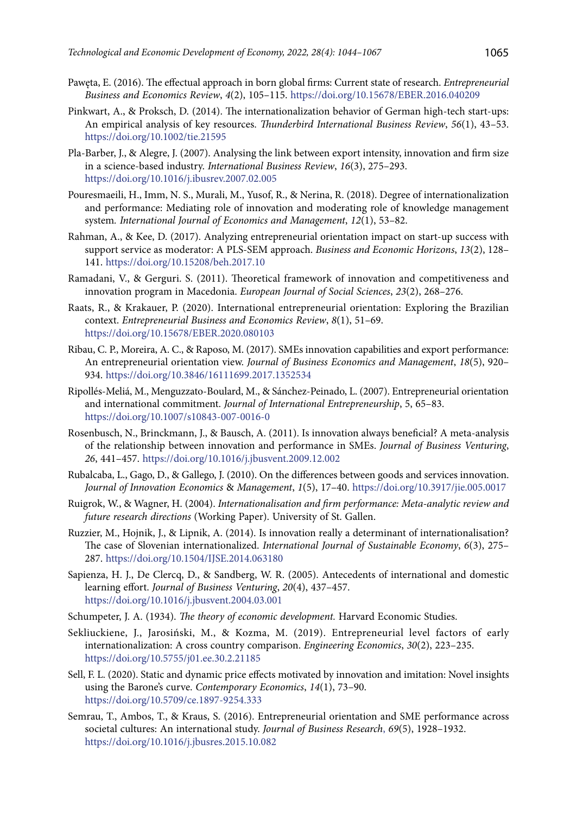- Pawęta, E. (2016). The effectual approach in born global firms: Current state of research. *Entrepreneurial Business and Economics Review*, *4*(2), 105–115. <https://doi.org/10.15678/EBER.2016.040209>
- Pinkwart, A., & Proksch, D. (2014). The internationalization behavior of German high-tech start-ups: An empirical analysis of key resources. *Thunderbird International Business Review*, *56*(1), 43–53. <https://doi.org/10.1002/tie.21595>
- Pla-Barber, J., & Alegre, J. (2007). Analysing the link between export intensity, innovation and firm size in a science-based industry. *International Business Review*, *16*(3), 275–293. <https://doi.org/10.1016/j.ibusrev.2007.02.005>
- Pouresmaeili, H., Imm, N. S., Murali, M., Yusof, R., & Nerina, R. (2018). Degree of internationalization and performance: Mediating role of innovation and moderating role of knowledge management system*. International Journal of Economics and Management*, *12*(1), 53–82.
- Rahman, A., & Kee, D. (2017). Analyzing entrepreneurial orientation impact on start-up success with support service as moderator: A PLS-SEM approach. *Business and Economic Horizons*, *13*(2), 128– 141. <https://doi.org/10.15208/beh.2017.10>
- Ramadani, V., & Gerguri. S. (2011). Theoretical framework of innovation and competitiveness and innovation program in Macedonia. *European Journal of Social Sciences*, *23*(2), 268–276.
- Raats, R., & Krakauer, P. (2020). International entrepreneurial orientation: Exploring the Brazilian context. *Entrepreneurial Business and Economics Review*, *8*(1), 51–69. <https://doi.org/10.15678/EBER.2020.080103>
- Ribau, C. P., Moreira, A. C., & Raposo, M. (2017). SMEs innovation capabilities and export performance: An entrepreneurial orientation view. *Journal of Business Economics and Management*, *18*(5), 920– 934. <https://doi.org/10.3846/16111699.2017.1352534>
- Ripollés-Meliá, M., Menguzzato-Boulard, M., & Sánchez-Peinado, L. (2007). Entrepreneurial orientation and international commitment. *Journal of International Entrepreneurship*, 5, 65–83. <https://doi.org/10.1007/s10843-007-0016-0>
- Rosenbusch, N., Brinckmann, J., & Bausch, A. (2011). Is innovation always beneficial? A meta-analysis of the relationship between innovation and performance in SMEs. *Journal of Business Venturing*, *26*, 441–457. <https://doi.org/10.1016/j.jbusvent.2009.12.002>
- Rubalcaba, L., Gago, D., & Gallego, J. (2010). On the differences between goods and services innovation. *Journal of Innovation Economics* & *Management*, *1*(5), 17–40.<https://doi.org/10.3917/jie.005.0017>
- Ruigrok, W., & Wagner, H. (2004). *Internationalisation and firm performance: Meta-analytic review and future research directions* (Working Paper). University of St. Gallen.
- Ruzzier, M., Hojnik, J., & Lipnik, A. (2014). Is innovation really a determinant of internationalisation? The case of Slovenian internationalized. *International Journal of Sustainable Economy*, *6*(3), 275– 287. <https://doi.org/10.1504/IJSE.2014.063180>
- Sapienza, H. J., De Clercq, D., & Sandberg, W. R. (2005). Antecedents of international and domestic learning effort. *Journal of Business Venturing*, *20*(4), 437–457. https://doi.org/10.1016/j.jbusvent.2004.03.001
- Schumpeter, J. A. (1934). *The theory of economic development.* Harvard Economic Studies.
- Sekliuckiene, J., Jarosiński, M., & Kozma, M. (2019). Entrepreneurial level factors of early internationalization: A cross country comparison. *Engineering Economics*, *30*(2), 223–235. <https://doi.org/10.5755/j01.ee.30.2.21185>
- Sell, F. L. (2020). Static and dynamic price effects motivated by innovation and imitation: Novel insights using the Barone's curve. *Contemporary Economics*, *14*(1), 73–90. <https://doi.org/10.5709/ce.1897-9254.333>
- Semrau, T., Ambos, T., & Kraus, S. (2016). [Entrepreneurial orientation and SME performance across](https://ideas.repec.org/a/eee/jbrese/v69y2016i5p1928-1932.html) [societal cultures: An international study](https://ideas.repec.org/a/eee/jbrese/v69y2016i5p1928-1932.html). *Journal of Business Research*, *69*(5), 1928–1932. <https://doi.org/10.1016/j.jbusres.2015.10.082>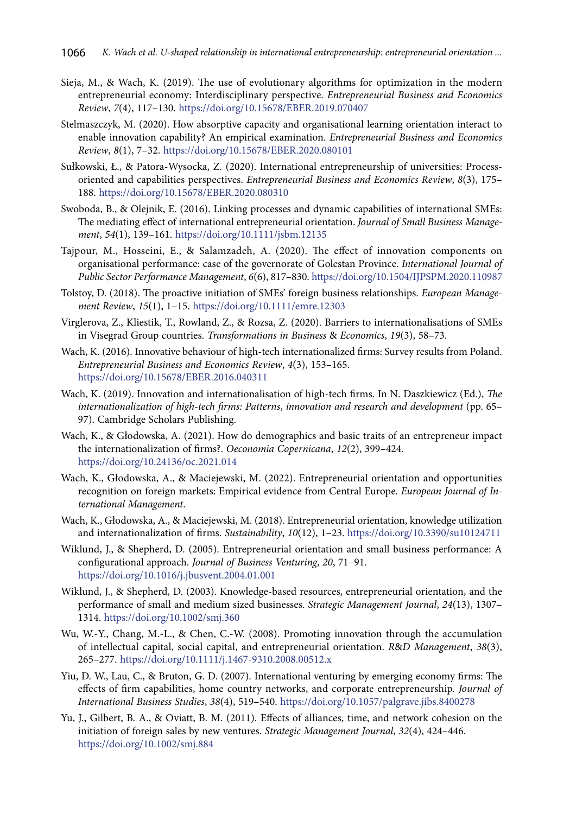- Sieja, M., & Wach, K. (2019). The use of evolutionary algorithms for optimization in the modern entrepreneurial economy: Interdisciplinary perspective. *Entrepreneurial Business and Economics Review*, *7*(4), 117–130. <https://doi.org/10.15678/EBER.2019.070407>
- Stelmaszczyk, M. (2020). How absorptive capacity and organisational learning orientation interact to enable innovation capability? An empirical examination. *Entrepreneurial Business and Economics Review*, *8*(1), 7–32.<https://doi.org/10.15678/EBER.2020.080101>
- Sułkowski, Ł., & Patora-Wysocka, Z. (2020). International entrepreneurship of universities: Processoriented and capabilities perspectives. *Entrepreneurial Business and Economics Review*, *8*(3), 175– 188. <https://doi.org/10.15678/EBER.2020.080310>
- Swoboda, B., & Olejnik, E. (2016). Linking processes and dynamic capabilities of international SMEs: The mediating effect of international entrepreneurial orientation. *Journal of Small Business Management*, *54*(1), 139–161.<https://doi.org/10.1111/jsbm.12135>
- Tajpour, M., Hosseini, E., & Salamzadeh, A. (2020). The effect of innovation components on organisational performance: case of the governorate of Golestan Province. *International Journal of Public Sector Performance Management*, *6*(6), 817–830.<https://doi.org/10.1504/IJPSPM.2020.110987>
- Tolstoy, D. (2018). The proactive initiation of SMEs' foreign business relationships. *European Management Review*, *15*(1), 1–15. <https://doi.org/10.1111/emre.12303>
- Virglerova, Z., Kliestik, T., Rowland, Z., & Rozsa, Z. (2020). Barriers to internationalisations of SMEs in Visegrad Group countries. *Transformations in Business* & *Economics*, *19*(3), 58–73.
- Wach, K. (2016). Innovative behaviour of high-tech internationalized firms: Survey results from Poland. *Entrepreneurial Business and Economics Review*, *4*(3), 153–165. <https://doi.org/10.15678/EBER.2016.040311>
- Wach, K. (2019). Innovation and internationalisation of high-tech firms. In N. Daszkiewicz (Ed.), *The internationalization of high-tech firms: Patterns*, *innovation and research and development* (pp. 65– 97). Cambridge Scholars Publishing.
- Wach, K., & Głodowska, A. (2021). How do demographics and basic traits of an entrepreneur impact the internationalization of firms?. *Oeconomia Copernicana*, *12*(2), 399–424. <https://doi.org/10.24136/oc.2021.014>
- Wach, K., Głodowska, A., & Maciejewski, M. (2022). Entrepreneurial orientation and opportunities recognition on foreign markets: Empirical evidence from Central Europe. *European Journal of International Management*.
- Wach, K., Głodowska, A., & Maciejewski, M. (2018). Entrepreneurial orientation, knowledge utilization and internationalization of firms. *Sustainability*, *10*(12), 1–23. <https://doi.org/10.3390/su10124711>
- Wiklund, J., & Shepherd, D. (2005). Entrepreneurial orientation and small business performance: A configurational approach. *Journal of Business Venturing*, *20*, 71–91. <https://doi.org/10.1016/j.jbusvent.2004.01.001>
- Wiklund, J., & Shepherd, D. (2003). Knowledge-based resources, entrepreneurial orientation, and the performance of small and medium sized businesses. *Strategic Management Journal*, *24*(13), 1307– 1314. <https://doi.org/10.1002/smj.360>
- Wu, W.-Y., Chang, M.-L., & Chen, C.-W. (2008). Promoting innovation through the accumulation of intellectual capital, social capital, and entrepreneurial orientation. *R*&*D Management*, *38*(3), 265–277. <https://doi.org/10.1111/j.1467-9310.2008.00512.x>
- Yiu, D. W., Lau, C., & Bruton, G. D. (2007). International venturing by emerging economy firms: The effects of firm capabilities, home country networks, and corporate entrepreneurship. *Journal of International Business Studies*, *38*(4), 519–540. <https://doi.org/10.1057/palgrave.jibs.8400278>
- Yu, J., Gilbert, B. A., & Oviatt, B. M. (2011). Effects of alliances, time, and network cohesion on the initiation of foreign sales by new ventures. *Strategic Management Journal*, *32*(4), 424–446. <https://doi.org/10.1002/smj.884>